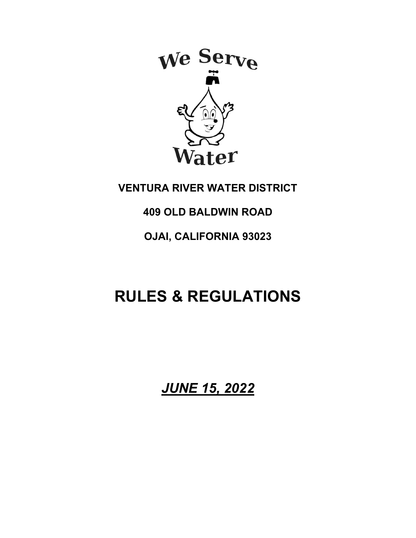

## **VENTURA RIVER WATER DISTRICT**

## **409 OLD BALDWIN ROAD**

## **OJAI, CALIFORNIA 93023**

# **RULES & REGULATIONS**

*JUNE 15, 2022*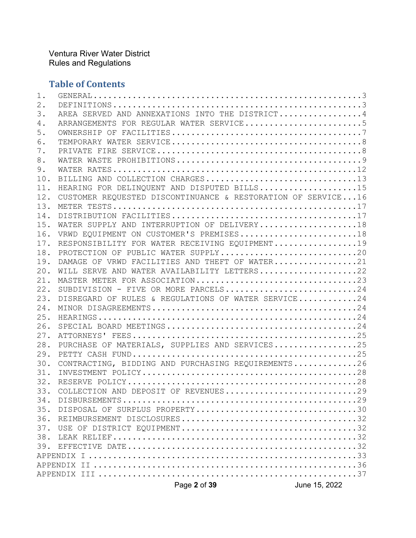## **Table of Contents**

|       | Page 2 of 39                                                 | June 15, 2022 |
|-------|--------------------------------------------------------------|---------------|
|       |                                                              |               |
|       |                                                              |               |
|       |                                                              |               |
| 39.   |                                                              |               |
| 38.   |                                                              |               |
| 37.   |                                                              |               |
| 36.   |                                                              |               |
| 35.   | DISPOSAL OF SURPLUS PROPERTY30                               |               |
| 34.   |                                                              |               |
| 33.   | COLLECTION AND DEPOSIT OF REVENUES29                         |               |
| 32.   |                                                              |               |
| 31.   |                                                              |               |
| 30.   | CONTRACTING, BIDDING AND PURCHASING REQUIREMENTS26           |               |
| 29.   |                                                              |               |
| 28.   | PURCHASE OF MATERIALS, SUPPLIES AND SERVICES25               |               |
| 27.   |                                                              |               |
| 26.   |                                                              |               |
| 25.   |                                                              |               |
| 24.   |                                                              |               |
| 23.   | DISREGARD OF RULES & REGULATIONS OF WATER SERVICE24          |               |
| 22.   | SUBDIVISION - FIVE OR MORE PARCELS24                         |               |
| 21.   | MASTER METER FOR ASSOCIATION23                               |               |
| 20.   | WILL SERVE AND WATER AVAILABILITY LETTERS22                  |               |
| 19.   | DAMAGE OF VRWD FACILITIES AND THEFT OF WATER21               |               |
| 18.   | PROTECTION OF PUBLIC WATER SUPPLY20                          |               |
| 17.   | RESPONSIBILITY FOR WATER RECEIVING EQUIPMENT19               |               |
| 16.   | VRWD EQUIPMENT ON CUSTOMER'S PREMISES18                      |               |
| 15.   | WATER SUPPLY AND INTERRUPTION OF DELIVERY18                  |               |
| 14.   |                                                              |               |
| 13.   |                                                              |               |
| 12.   | CUSTOMER REQUESTED DISCONTINUANCE & RESTORATION OF SERVICE16 |               |
| 11.   | HEARING FOR DELINQUENT AND DISPUTED BILLS15                  |               |
| 10.   | BILLING AND COLLECTION CHARGES13                             |               |
| 9.    |                                                              |               |
| 8.    |                                                              |               |
| 7.    |                                                              |               |
| 6.    |                                                              |               |
| 5.    |                                                              |               |
| 4.    | ARRANGEMENTS FOR REGULAR WATER SERVICE5                      |               |
| 3.    | AREA SERVED AND ANNEXATIONS INTO THE DISTRICT4               |               |
| $2$ . |                                                              |               |
| 1.    |                                                              |               |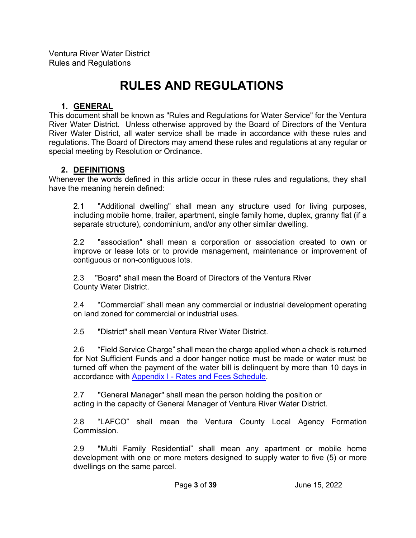## **RULES AND REGULATIONS**

#### **1. GENERAL**

This document shall be known as "Rules and Regulations for Water Service" for the Ventura River Water District. Unless otherwise approved by the Board of Directors of the Ventura River Water District, all water service shall be made in accordance with these rules and regulations. The Board of Directors may amend these rules and regulations at any regular or special meeting by Resolution or Ordinance.

#### **2. DEFINITIONS**

Whenever the words defined in this article occur in these rules and regulations, they shall have the meaning herein defined:

2.1 "Additional dwelling" shall mean any structure used for living purposes, including mobile home, trailer, apartment, single family home, duplex, granny flat (if a separate structure), condominium, and/or any other similar dwelling.

2.2 "association" shall mean a corporation or association created to own or improve or lease lots or to provide management, maintenance or improvement of contiguous or non-contiguous lots.

2.3 "Board" shall mean the Board of Directors of the Ventura River County Water District.

2.4 "Commercial" shall mean any commercial or industrial development operating on land zoned for commercial or industrial uses.

2.5 "District" shall mean Ventura River Water District.

2.6 "Field Service Charge" shall mean the charge applied when a check is returned for Not Sufficient Funds and a door hanger notice must be made or water must be turned off when the payment of the water bill is delinquent by more than 10 days in accordance with Appendix I - Rates and Fees Schedule.

2.7 "General Manager" shall mean the person holding the position or acting in the capacity of General Manager of Ventura River Water District.

2.8 "LAFCO" shall mean the Ventura County Local Agency Formation Commission.

2.9 "Multi Family Residential" shall mean any apartment or mobile home development with one or more meters designed to supply water to five (5) or more dwellings on the same parcel.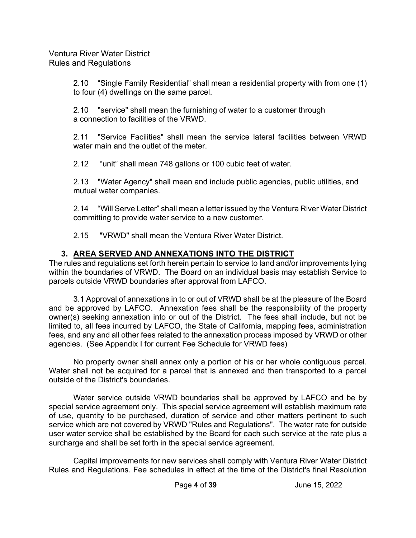2.10 "Single Family Residential" shall mean a residential property with from one (1) to four (4) dwellings on the same parcel.

2.10 "service" shall mean the furnishing of water to a customer through a connection to facilities of the VRWD.

2.11 "Service Facilities" shall mean the service lateral facilities between VRWD water main and the outlet of the meter.

2.12 "unit" shall mean 748 gallons or 100 cubic feet of water.

2.13 "Water Agency" shall mean and include public agencies, public utilities, and mutual water companies.

2.14 "Will Serve Letter" shall mean a letter issued by the Ventura River Water District committing to provide water service to a new customer.

2.15 "VRWD" shall mean the Ventura River Water District.

## **3. AREA SERVED AND ANNEXATIONS INTO THE DISTRICT**

The rules and regulations set forth herein pertain to service to land and/or improvements lying within the boundaries of VRWD. The Board on an individual basis may establish Service to parcels outside VRWD boundaries after approval from LAFCO.

 3.1 Approval of annexations in to or out of VRWD shall be at the pleasure of the Board and be approved by LAFCO. Annexation fees shall be the responsibility of the property owner(s) seeking annexation into or out of the District. The fees shall include, but not be limited to, all fees incurred by LAFCO, the State of California, mapping fees, administration fees, and any and all other fees related to the annexation process imposed by VRWD or other agencies. (See Appendix I for current Fee Schedule for VRWD fees)

 No property owner shall annex only a portion of his or her whole contiguous parcel. Water shall not be acquired for a parcel that is annexed and then transported to a parcel outside of the District's boundaries.

 Water service outside VRWD boundaries shall be approved by LAFCO and be by special service agreement only. This special service agreement will establish maximum rate of use, quantity to be purchased, duration of service and other matters pertinent to such service which are not covered by VRWD "Rules and Regulations". The water rate for outside user water service shall be established by the Board for each such service at the rate plus a surcharge and shall be set forth in the special service agreement.

 Capital improvements for new services shall comply with Ventura River Water District Rules and Regulations. Fee schedules in effect at the time of the District's final Resolution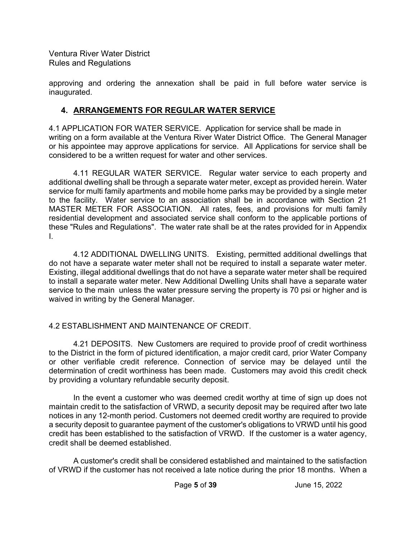approving and ordering the annexation shall be paid in full before water service is inaugurated.

### **4. ARRANGEMENTS FOR REGULAR WATER SERVICE**

4.1 APPLICATION FOR WATER SERVICE. Application for service shall be made in writing on a form available at the Ventura River Water District Office. The General Manager or his appointee may approve applications for service. All Applications for service shall be considered to be a written request for water and other services.

 4.11 REGULAR WATER SERVICE. Regular water service to each property and additional dwelling shall be through a separate water meter, except as provided herein. Water service for multi family apartments and mobile home parks may be provided by a single meter to the facility. Water service to an association shall be in accordance with Section 21 MASTER METER FOR ASSOCIATION. All rates, fees, and provisions for multi family residential development and associated service shall conform to the applicable portions of these "Rules and Regulations". The water rate shall be at the rates provided for in Appendix I.

 4.12 ADDITIONAL DWELLING UNITS. Existing, permitted additional dwellings that do not have a separate water meter shall not be required to install a separate water meter. Existing, illegal additional dwellings that do not have a separate water meter shall be required to install a separate water meter. New Additional Dwelling Units shall have a separate water service to the main unless the water pressure serving the property is 70 psi or higher and is waived in writing by the General Manager.

#### 4.2 ESTABLISHMENT AND MAINTENANCE OF CREDIT.

 4.21 DEPOSITS. New Customers are required to provide proof of credit worthiness to the District in the form of pictured identification, a major credit card, prior Water Company or other verifiable credit reference. Connection of service may be delayed until the determination of credit worthiness has been made. Customers may avoid this credit check by providing a voluntary refundable security deposit.

 In the event a customer who was deemed credit worthy at time of sign up does not maintain credit to the satisfaction of VRWD, a security deposit may be required after two late notices in any 12-month period. Customers not deemed credit worthy are required to provide a security deposit to guarantee payment of the customer's obligations to VRWD until his good credit has been established to the satisfaction of VRWD. If the customer is a water agency, credit shall be deemed established.

 A customer's credit shall be considered established and maintained to the satisfaction of VRWD if the customer has not received a late notice during the prior 18 months. When a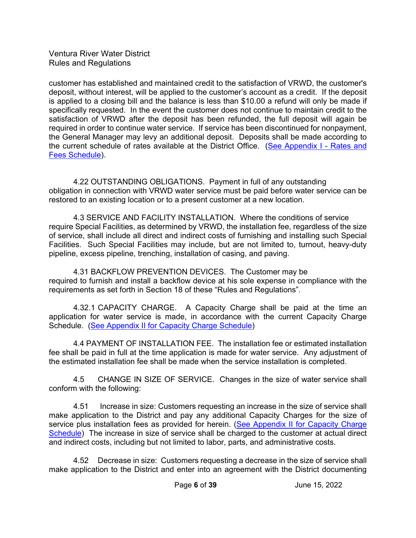customer has established and maintained credit to the satisfaction of VRWD, the customer's deposit, without interest, will be applied to the customer's account as a credit. If the deposit is applied to a closing bill and the balance is less than \$10.00 a refund will only be made if specifically requested. In the event the customer does not continue to maintain credit to the satisfaction of VRWD after the deposit has been refunded, the full deposit will again be required in order to continue water service. If service has been discontinued for nonpayment, the General Manager may levy an additional deposit. Deposits shall be made according to the current schedule of rates available at the District Office. (See Appendix I - Rates and Fees Schedule).

 4.22 OUTSTANDING OBLIGATIONS. Payment in full of any outstanding obligation in connection with VRWD water service must be paid before water service can be restored to an existing location or to a present customer at a new location.

 4.3 SERVICE AND FACILITY INSTALLATION. Where the conditions of service require Special Facilities, as determined by VRWD, the installation fee, regardless of the size of service, shall include all direct and indirect costs of furnishing and installing such Special Facilities. Such Special Facilities may include, but are not limited to, turnout, heavy-duty pipeline, excess pipeline, trenching, installation of casing, and paving.

4.31 BACKFLOW PREVENTION DEVICES. The Customer may be required to furnish and install a backflow device at his sole expense in compliance with the requirements as set forth in Section 18 of these "Rules and Regulations".

4.32.1 CAPACITY CHARGE. A Capacity Charge shall be paid at the time an application for water service is made, in accordance with the current Capacity Charge Schedule. (See Appendix II for Capacity Charge Schedule)

 4.4 PAYMENT OF INSTALLATION FEE. The installation fee or estimated installation fee shall be paid in full at the time application is made for water service. Any adjustment of the estimated installation fee shall be made when the service installation is completed.

4.5 CHANGE IN SIZE OF SERVICE. Changes in the size of water service shall conform with the following:

4.51 Increase in size: Customers requesting an increase in the size of service shall make application to the District and pay any additional Capacity Charges for the size of service plus installation fees as provided for herein. (See Appendix II for Capacity Charge Schedule) The increase in size of service shall be charged to the customer at actual direct and indirect costs, including but not limited to labor, parts, and administrative costs.

4.52 Decrease in size: Customers requesting a decrease in the size of service shall make application to the District and enter into an agreement with the District documenting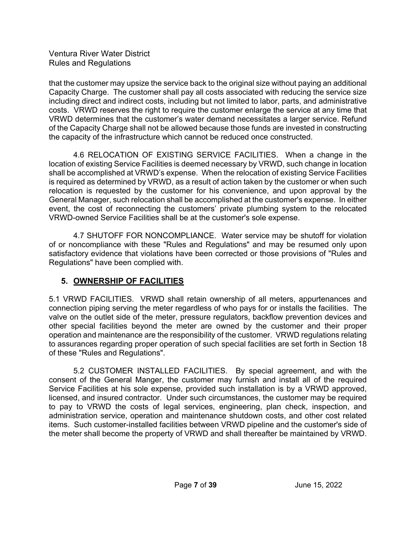that the customer may upsize the service back to the original size without paying an additional Capacity Charge. The customer shall pay all costs associated with reducing the service size including direct and indirect costs, including but not limited to labor, parts, and administrative costs. VRWD reserves the right to require the customer enlarge the service at any time that VRWD determines that the customer's water demand necessitates a larger service. Refund of the Capacity Charge shall not be allowed because those funds are invested in constructing the capacity of the infrastructure which cannot be reduced once constructed.

 4.6 RELOCATION OF EXISTING SERVICE FACILITIES. When a change in the location of existing Service Facilities is deemed necessary by VRWD, such change in location shall be accomplished at VRWD's expense. When the relocation of existing Service Facilities is required as determined by VRWD, as a result of action taken by the customer or when such relocation is requested by the customer for his convenience, and upon approval by the General Manager, such relocation shall be accomplished at the customer's expense. In either event, the cost of reconnecting the customers' private plumbing system to the relocated VRWD-owned Service Facilities shall be at the customer's sole expense.

 4.7 SHUTOFF FOR NONCOMPLIANCE. Water service may be shutoff for violation of or noncompliance with these "Rules and Regulations" and may be resumed only upon satisfactory evidence that violations have been corrected or those provisions of "Rules and Regulations" have been complied with.

## **5. OWNERSHIP OF FACILITIES**

5.1 VRWD FACILITIES. VRWD shall retain ownership of all meters, appurtenances and connection piping serving the meter regardless of who pays for or installs the facilities. The valve on the outlet side of the meter, pressure regulators, backflow prevention devices and other special facilities beyond the meter are owned by the customer and their proper operation and maintenance are the responsibility of the customer. VRWD regulations relating to assurances regarding proper operation of such special facilities are set forth in Section 18 of these "Rules and Regulations".

 5.2 CUSTOMER INSTALLED FACILITIES. By special agreement, and with the consent of the General Manger, the customer may furnish and install all of the required Service Facilities at his sole expense, provided such installation is by a VRWD approved, licensed, and insured contractor. Under such circumstances, the customer may be required to pay to VRWD the costs of legal services, engineering, plan check, inspection, and administration service, operation and maintenance shutdown costs, and other cost related items. Such customer-installed facilities between VRWD pipeline and the customer's side of the meter shall become the property of VRWD and shall thereafter be maintained by VRWD.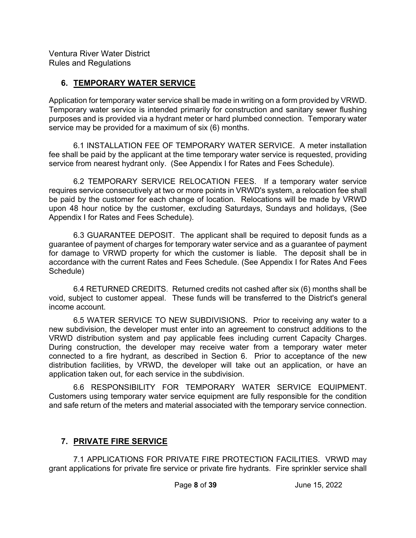## **6. TEMPORARY WATER SERVICE**

Application for temporary water service shall be made in writing on a form provided by VRWD. Temporary water service is intended primarily for construction and sanitary sewer flushing purposes and is provided via a hydrant meter or hard plumbed connection. Temporary water service may be provided for a maximum of six (6) months.

 6.1 INSTALLATION FEE OF TEMPORARY WATER SERVICE. A meter installation fee shall be paid by the applicant at the time temporary water service is requested, providing service from nearest hydrant only. (See Appendix I for Rates and Fees Schedule).

 6.2 TEMPORARY SERVICE RELOCATION FEES. If a temporary water service requires service consecutively at two or more points in VRWD's system, a relocation fee shall be paid by the customer for each change of location. Relocations will be made by VRWD upon 48 hour notice by the customer, excluding Saturdays, Sundays and holidays, (See Appendix I for Rates and Fees Schedule).

 6.3 GUARANTEE DEPOSIT. The applicant shall be required to deposit funds as a guarantee of payment of charges for temporary water service and as a guarantee of payment for damage to VRWD property for which the customer is liable. The deposit shall be in accordance with the current Rates and Fees Schedule. (See Appendix I for Rates And Fees Schedule)

 6.4 RETURNED CREDITS. Returned credits not cashed after six (6) months shall be void, subject to customer appeal. These funds will be transferred to the District's general income account.

 6.5 WATER SERVICE TO NEW SUBDIVISIONS. Prior to receiving any water to a new subdivision, the developer must enter into an agreement to construct additions to the VRWD distribution system and pay applicable fees including current Capacity Charges. During construction, the developer may receive water from a temporary water meter connected to a fire hydrant, as described in Section 6. Prior to acceptance of the new distribution facilities, by VRWD, the developer will take out an application, or have an application taken out, for each service in the subdivision.

 6.6 RESPONSIBILITY FOR TEMPORARY WATER SERVICE EQUIPMENT. Customers using temporary water service equipment are fully responsible for the condition and safe return of the meters and material associated with the temporary service connection.

## **7. PRIVATE FIRE SERVICE**

 7.1 APPLICATIONS FOR PRIVATE FIRE PROTECTION FACILITIES. VRWD may grant applications for private fire service or private fire hydrants. Fire sprinkler service shall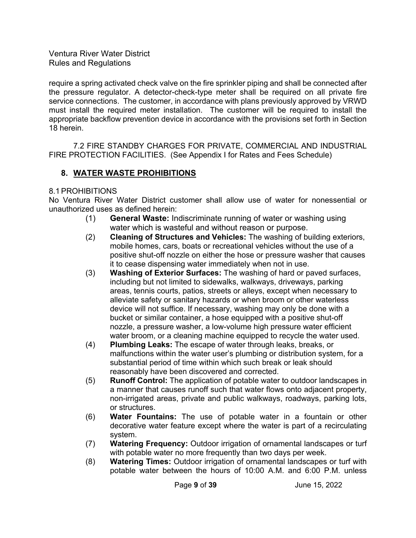require a spring activated check valve on the fire sprinkler piping and shall be connected after the pressure regulator. A detector-check-type meter shall be required on all private fire service connections. The customer, in accordance with plans previously approved by VRWD must install the required meter installation. The customer will be required to install the appropriate backflow prevention device in accordance with the provisions set forth in Section 18 herein.

 7.2 FIRE STANDBY CHARGES FOR PRIVATE, COMMERCIAL AND INDUSTRIAL FIRE PROTECTION FACILITIES. (See Appendix I for Rates and Fees Schedule)

#### **8. WATER WASTE PROHIBITIONS**

#### 8.1 PROHIBITIONS

No Ventura River Water District customer shall allow use of water for nonessential or unauthorized uses as defined herein:

- (1) **General Waste:** Indiscriminate running of water or washing using water which is wasteful and without reason or purpose.
- (2) **Cleaning of Structures and Vehicles:** The washing of building exteriors, mobile homes, cars, boats or recreational vehicles without the use of a positive shut-off nozzle on either the hose or pressure washer that causes it to cease dispensing water immediately when not in use.
- (3) **Washing of Exterior Surfaces:** The washing of hard or paved surfaces, including but not limited to sidewalks, walkways, driveways, parking areas, tennis courts, patios, streets or alleys, except when necessary to alleviate safety or sanitary hazards or when broom or other waterless device will not suffice. If necessary, washing may only be done with a bucket or similar container, a hose equipped with a positive shut-off nozzle, a pressure washer, a low-volume high pressure water efficient water broom, or a cleaning machine equipped to recycle the water used.
- (4) **Plumbing Leaks:** The escape of water through leaks, breaks, or malfunctions within the water user's plumbing or distribution system, for a substantial period of time within which such break or leak should reasonably have been discovered and corrected.
- (5) **Runoff Control:** The application of potable water to outdoor landscapes in a manner that causes runoff such that water flows onto adjacent property, non-irrigated areas, private and public walkways, roadways, parking lots, or structures.
- (6) **Water Fountains:** The use of potable water in a fountain or other decorative water feature except where the water is part of a recirculating system.
- (7) **Watering Frequency:** Outdoor irrigation of ornamental landscapes or turf with potable water no more frequently than two days per week.
- (8) **Watering Times:** Outdoor irrigation of ornamental landscapes or turf with potable water between the hours of 10:00 A.M. and 6:00 P.M. unless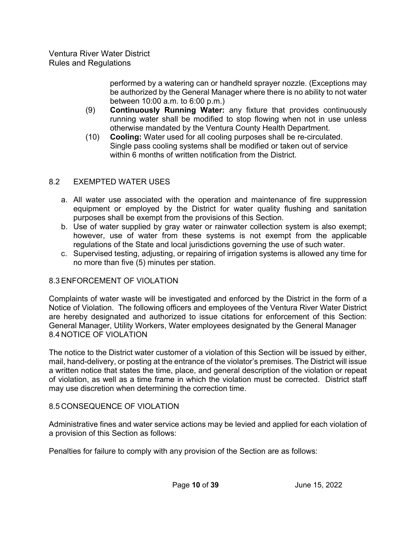> performed by a watering can or handheld sprayer nozzle. (Exceptions may be authorized by the General Manager where there is no ability to not water between 10:00 a.m. to 6:00 p.m.)

- (9) **Continuously Running Water:** any fixture that provides continuously running water shall be modified to stop flowing when not in use unless otherwise mandated by the Ventura County Health Department.
- (10) **Cooling:** Water used for all cooling purposes shall be re-circulated. Single pass cooling systems shall be modified or taken out of service within 6 months of written notification from the District.

#### 8.2 EXEMPTED WATER USES

- a. All water use associated with the operation and maintenance of fire suppression equipment or employed by the District for water quality flushing and sanitation purposes shall be exempt from the provisions of this Section.
- b. Use of water supplied by gray water or rainwater collection system is also exempt; however, use of water from these systems is not exempt from the applicable regulations of the State and local jurisdictions governing the use of such water.
- c. Supervised testing, adjusting, or repairing of irrigation systems is allowed any time for no more than five (5) minutes per station.

#### 8.3 ENFORCEMENT OF VIOLATION

Complaints of water waste will be investigated and enforced by the District in the form of a Notice of Violation. The following officers and employees of the Ventura River Water District are hereby designated and authorized to issue citations for enforcement of this Section: General Manager, Utility Workers, Water employees designated by the General Manager 8.4 NOTICE OF VIOLATION

The notice to the District water customer of a violation of this Section will be issued by either, mail, hand-delivery, or posting at the entrance of the violator's premises. The District will issue a written notice that states the time, place, and general description of the violation or repeat of violation, as well as a time frame in which the violation must be corrected. District staff may use discretion when determining the correction time.

#### 8.5 CONSEQUENCE OF VIOLATION

Administrative fines and water service actions may be levied and applied for each violation of a provision of this Section as follows:

Penalties for failure to comply with any provision of the Section are as follows: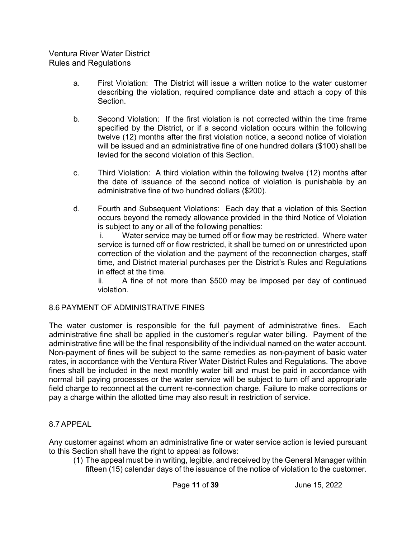- a. First Violation: The District will issue a written notice to the water customer describing the violation, required compliance date and attach a copy of this Section.
- b. Second Violation: If the first violation is not corrected within the time frame specified by the District, or if a second violation occurs within the following twelve (12) months after the first violation notice, a second notice of violation will be issued and an administrative fine of one hundred dollars (\$100) shall be levied for the second violation of this Section.
- c. Third Violation: A third violation within the following twelve (12) months after the date of issuance of the second notice of violation is punishable by an administrative fine of two hundred dollars (\$200).
- d. Fourth and Subsequent Violations: Each day that a violation of this Section occurs beyond the remedy allowance provided in the third Notice of Violation is subject to any or all of the following penalties:

i. Water service may be turned off or flow may be restricted. Where water service is turned off or flow restricted, it shall be turned on or unrestricted upon correction of the violation and the payment of the reconnection charges, staff time, and District material purchases per the District's Rules and Regulations in effect at the time.

ii. A fine of not more than \$500 may be imposed per day of continued violation.

#### 8.6 PAYMENT OF ADMINISTRATIVE FINES

The water customer is responsible for the full payment of administrative fines. Each administrative fine shall be applied in the customer's regular water billing. Payment of the administrative fine will be the final responsibility of the individual named on the water account. Non-payment of fines will be subject to the same remedies as non-payment of basic water rates, in accordance with the Ventura River Water District Rules and Regulations. The above fines shall be included in the next monthly water bill and must be paid in accordance with normal bill paying processes or the water service will be subject to turn off and appropriate field charge to reconnect at the current re-connection charge. Failure to make corrections or pay a charge within the allotted time may also result in restriction of service.

#### 8.7 APPEAL

Any customer against whom an administrative fine or water service action is levied pursuant to this Section shall have the right to appeal as follows:

(1) The appeal must be in writing, legible, and received by the General Manager within fifteen (15) calendar days of the issuance of the notice of violation to the customer.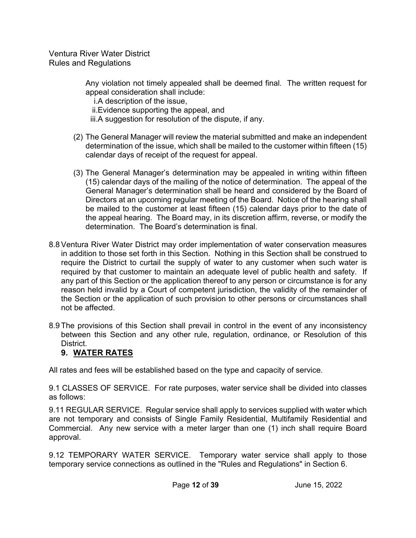> Any violation not timely appealed shall be deemed final. The written request for appeal consideration shall include:

i.A description of the issue, ii.Evidence supporting the appeal, and

iii.A suggestion for resolution of the dispute, if any.

- (2) The General Manager will review the material submitted and make an independent determination of the issue, which shall be mailed to the customer within fifteen (15) calendar days of receipt of the request for appeal.
- (3) The General Manager's determination may be appealed in writing within fifteen (15) calendar days of the mailing of the notice of determination. The appeal of the General Manager's determination shall be heard and considered by the Board of Directors at an upcoming regular meeting of the Board. Notice of the hearing shall be mailed to the customer at least fifteen (15) calendar days prior to the date of the appeal hearing. The Board may, in its discretion affirm, reverse, or modify the determination. The Board's determination is final.
- 8.8 Ventura River Water District may order implementation of water conservation measures in addition to those set forth in this Section. Nothing in this Section shall be construed to require the District to curtail the supply of water to any customer when such water is required by that customer to maintain an adequate level of public health and safety. If any part of this Section or the application thereof to any person or circumstance is for any reason held invalid by a Court of competent jurisdiction, the validity of the remainder of the Section or the application of such provision to other persons or circumstances shall not be affected.
- 8.9 The provisions of this Section shall prevail in control in the event of any inconsistency between this Section and any other rule, regulation, ordinance, or Resolution of this District.

## **9. WATER RATES**

All rates and fees will be established based on the type and capacity of service.

9.1 CLASSES OF SERVICE. For rate purposes, water service shall be divided into classes as follows:

9.11 REGULAR SERVICE. Regular service shall apply to services supplied with water which are not temporary and consists of Single Family Residential, Multifamily Residential and Commercial. Any new service with a meter larger than one (1) inch shall require Board approval.

9.12 TEMPORARY WATER SERVICE. Temporary water service shall apply to those temporary service connections as outlined in the "Rules and Regulations" in Section 6.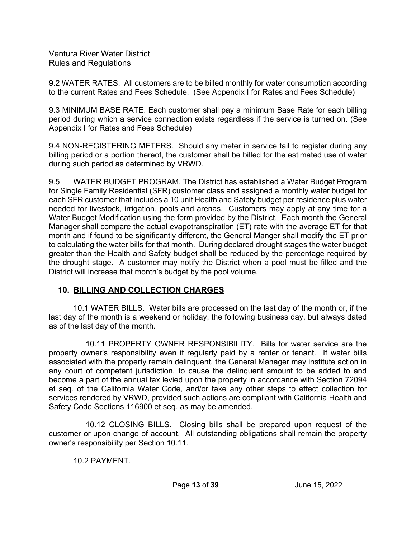9.2 WATER RATES. All customers are to be billed monthly for water consumption according to the current Rates and Fees Schedule. (See Appendix I for Rates and Fees Schedule)

9.3 MINIMUM BASE RATE. Each customer shall pay a minimum Base Rate for each billing period during which a service connection exists regardless if the service is turned on. (See Appendix I for Rates and Fees Schedule)

9.4 NON-REGISTERING METERS. Should any meter in service fail to register during any billing period or a portion thereof, the customer shall be billed for the estimated use of water during such period as determined by VRWD.

9.5 WATER BUDGET PROGRAM. The District has established a Water Budget Program for Single Family Residential (SFR) customer class and assigned a monthly water budget for each SFR customer that includes a 10 unit Health and Safety budget per residence plus water needed for livestock, irrigation, pools and arenas. Customers may apply at any time for a Water Budget Modification using the form provided by the District. Each month the General Manager shall compare the actual evapotranspiration (ET) rate with the average ET for that month and if found to be significantly different, the General Manger shall modify the ET prior to calculating the water bills for that month. During declared drought stages the water budget greater than the Health and Safety budget shall be reduced by the percentage required by the drought stage. A customer may notify the District when a pool must be filled and the District will increase that month's budget by the pool volume.

## **10. BILLING AND COLLECTION CHARGES**

 10.1 WATER BILLS. Water bills are processed on the last day of the month or, if the last day of the month is a weekend or holiday, the following business day, but always dated as of the last day of the month.

 10.11 PROPERTY OWNER RESPONSIBILITY. Bills for water service are the property owner's responsibility even if regularly paid by a renter or tenant. If water bills associated with the property remain delinquent, the General Manager may institute action in any court of competent jurisdiction, to cause the delinquent amount to be added to and become a part of the annual tax levied upon the property in accordance with Section 72094 et seq. of the California Water Code, and/or take any other steps to effect collection for services rendered by VRWD, provided such actions are compliant with California Health and Safety Code Sections 116900 et seq. as may be amended.

 10.12 CLOSING BILLS. Closing bills shall be prepared upon request of the customer or upon change of account. All outstanding obligations shall remain the property owner's responsibility per Section 10.11.

10.2 PAYMENT.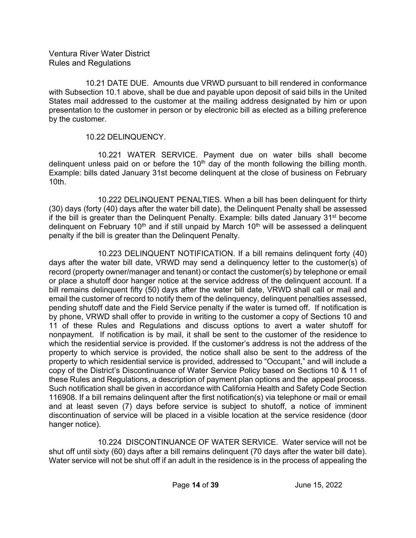10.21 DATE DUE. Amounts due VRWD pursuant to bill rendered in conformance with Subsection 10.1 above, shall be due and payable upon deposit of said bills in the United States mail addressed to the customer at the mailing address designated by him or upon presentation to the customer in person or by electronic bill as elected as a billing preference by the customer.

10.22 DELINQUENCY.

 10.221 WATER SERVICE. Payment due on water bills shall become delinquent unless paid on or before the  $10<sup>th</sup>$  day of the month following the billing month. Example: bills dated January 31st become delinquent at the close of business on February 10th.

 10.222 DELINQUENT PENALTIES. When a bill has been delinquent for thirty (30) days (forty (40) days after the water bill date), the Delinquent Penalty shall be assessed if the bill is greater than the Delinguent Penalty. Example: bills dated January  $31<sup>st</sup>$  become delinquent on February  $10<sup>th</sup>$  and if still unpaid by March  $10<sup>th</sup>$  will be assessed a delinquent penalty if the bill is greater than the Delinquent Penalty.

 10.223 DELINQUENT NOTIFICATION. If a bill remains delinquent forty (40) days after the water bill date, VRWD may send a delinquency letter to the customer(s) of record (property owner/manager and tenant) or contact the customer(s) by telephone or email or place a shutoff door hanger notice at the service address of the delinquent account. If a bill remains delinquent fifty (50) days after the water bill date, VRWD shall call or mail and email the customer of record to notify them of the delinquency, delinquent penalties assessed, pending shutoff date and the Field Service penalty if the water is turned off. If notification is by phone, VRWD shall offer to provide in writing to the customer a copy of Sections 10 and 11 of these Rules and Regulations and discuss options to avert a water shutoff for nonpayment. If notification is by mail, it shall be sent to the customer of the residence to which the residential service is provided. If the customer's address is not the address of the property to which service is provided, the notice shall also be sent to the address of the property to which residential service is provided, addressed to "Occupant," and will include a copy of the District's Discontinuance of Water Service Policy based on Sections 10 & 11 of these Rules and Regulations, a description of payment plan options and the appeal process. Such notification shall be given in accordance with California Health and Safety Code Section 116908. If a bill remains delinquent after the first notification(s) via telephone or mail or email and at least seven (7) days before service is subject to shutoff, a notice of imminent discontinuation of service will be placed in a visible location at the service residence (door hanger notice).

 10.224 DISCONTINUANCE OF WATER SERVICE. Water service will not be shut off until sixty (60) days after a bill remains delinquent (70 days after the water bill date). Water service will not be shut off if an adult in the residence is in the process of appealing the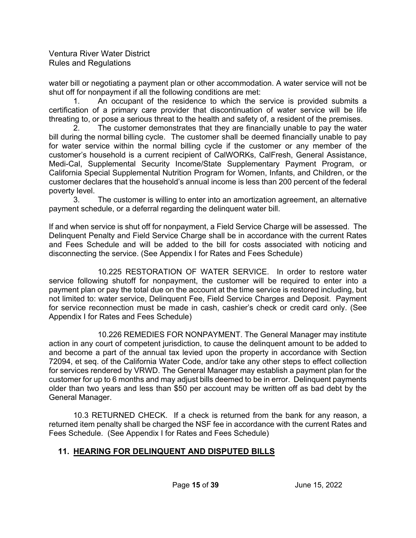water bill or negotiating a payment plan or other accommodation. A water service will not be shut off for nonpayment if all the following conditions are met:

 1. An occupant of the residence to which the service is provided submits a certification of a primary care provider that discontinuation of water service will be life threating to, or pose a serious threat to the health and safety of, a resident of the premises.

 2. The customer demonstrates that they are financially unable to pay the water bill during the normal billing cycle. The customer shall be deemed financially unable to pay for water service within the normal billing cycle if the customer or any member of the customer's household is a current recipient of CalWORKs, CalFresh, General Assistance, Medi-Cal, Supplemental Security Income/State Supplementary Payment Program, or California Special Supplemental Nutrition Program for Women, Infants, and Children, or the customer declares that the household's annual income is less than 200 percent of the federal poverty level.

 3. The customer is willing to enter into an amortization agreement, an alternative payment schedule, or a deferral regarding the delinquent water bill.

If and when service is shut off for nonpayment, a Field Service Charge will be assessed. The Delinquent Penalty and Field Service Charge shall be in accordance with the current Rates and Fees Schedule and will be added to the bill for costs associated with noticing and disconnecting the service. (See Appendix I for Rates and Fees Schedule)

 10.225 RESTORATION OF WATER SERVICE. In order to restore water service following shutoff for nonpayment, the customer will be required to enter into a payment plan or pay the total due on the account at the time service is restored including, but not limited to: water service, Delinquent Fee, Field Service Charges and Deposit. Payment for service reconnection must be made in cash, cashier's check or credit card only. (See Appendix I for Rates and Fees Schedule)

 10.226 REMEDIES FOR NONPAYMENT. The General Manager may institute action in any court of competent jurisdiction, to cause the delinquent amount to be added to and become a part of the annual tax levied upon the property in accordance with Section 72094, et seq. of the California Water Code, and/or take any other steps to effect collection for services rendered by VRWD. The General Manager may establish a payment plan for the customer for up to 6 months and may adjust bills deemed to be in error. Delinquent payments older than two years and less than \$50 per account may be written off as bad debt by the General Manager.

 10.3 RETURNED CHECK. If a check is returned from the bank for any reason, a returned item penalty shall be charged the NSF fee in accordance with the current Rates and Fees Schedule. (See Appendix I for Rates and Fees Schedule)

## **11. HEARING FOR DELINQUENT AND DISPUTED BILLS**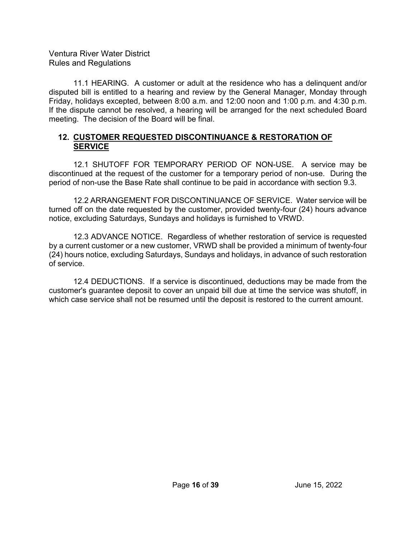11.1 HEARING. A customer or adult at the residence who has a delinquent and/or disputed bill is entitled to a hearing and review by the General Manager, Monday through Friday, holidays excepted, between 8:00 a.m. and 12:00 noon and 1:00 p.m. and 4:30 p.m. If the dispute cannot be resolved, a hearing will be arranged for the next scheduled Board meeting. The decision of the Board will be final.

#### **12. CUSTOMER REQUESTED DISCONTINUANCE & RESTORATION OF SERVICE**

 12.1 SHUTOFF FOR TEMPORARY PERIOD OF NON-USE. A service may be discontinued at the request of the customer for a temporary period of non-use. During the period of non-use the Base Rate shall continue to be paid in accordance with section 9.3.

 12.2 ARRANGEMENT FOR DISCONTINUANCE OF SERVICE. Water service will be turned off on the date requested by the customer, provided twenty-four (24) hours advance notice, excluding Saturdays, Sundays and holidays is furnished to VRWD.

 12.3 ADVANCE NOTICE. Regardless of whether restoration of service is requested by a current customer or a new customer, VRWD shall be provided a minimum of twenty-four (24) hours notice, excluding Saturdays, Sundays and holidays, in advance of such restoration of service.

 12.4 DEDUCTIONS. If a service is discontinued, deductions may be made from the customer's guarantee deposit to cover an unpaid bill due at time the service was shutoff, in which case service shall not be resumed until the deposit is restored to the current amount.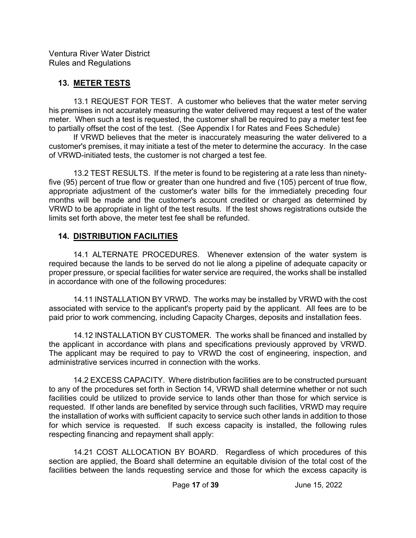### **13. METER TESTS**

 13.1 REQUEST FOR TEST. A customer who believes that the water meter serving his premises in not accurately measuring the water delivered may request a test of the water meter. When such a test is requested, the customer shall be required to pay a meter test fee to partially offset the cost of the test. (See Appendix I for Rates and Fees Schedule)

 If VRWD believes that the meter is inaccurately measuring the water delivered to a customer's premises, it may initiate a test of the meter to determine the accuracy. In the case of VRWD-initiated tests, the customer is not charged a test fee.

 13.2 TEST RESULTS. If the meter is found to be registering at a rate less than ninetyfive (95) percent of true flow or greater than one hundred and five (105) percent of true flow, appropriate adjustment of the customer's water bills for the immediately preceding four months will be made and the customer's account credited or charged as determined by VRWD to be appropriate in light of the test results. If the test shows registrations outside the limits set forth above, the meter test fee shall be refunded.

### **14. DISTRIBUTION FACILITIES**

 14.1 ALTERNATE PROCEDURES. Whenever extension of the water system is required because the lands to be served do not lie along a pipeline of adequate capacity or proper pressure, or special facilities for water service are required, the works shall be installed in accordance with one of the following procedures:

 14.11 INSTALLATION BY VRWD. The works may be installed by VRWD with the cost associated with service to the applicant's property paid by the applicant. All fees are to be paid prior to work commencing, including Capacity Charges, deposits and installation fees.

 14.12 INSTALLATION BY CUSTOMER. The works shall be financed and installed by the applicant in accordance with plans and specifications previously approved by VRWD. The applicant may be required to pay to VRWD the cost of engineering, inspection, and administrative services incurred in connection with the works.

 14.2 EXCESS CAPACITY. Where distribution facilities are to be constructed pursuant to any of the procedures set forth in Section 14, VRWD shall determine whether or not such facilities could be utilized to provide service to lands other than those for which service is requested. If other lands are benefited by service through such facilities, VRWD may require the installation of works with sufficient capacity to service such other lands in addition to those for which service is requested. If such excess capacity is installed, the following rules respecting financing and repayment shall apply:

 14.21 COST ALLOCATION BY BOARD. Regardless of which procedures of this section are applied, the Board shall determine an equitable division of the total cost of the facilities between the lands requesting service and those for which the excess capacity is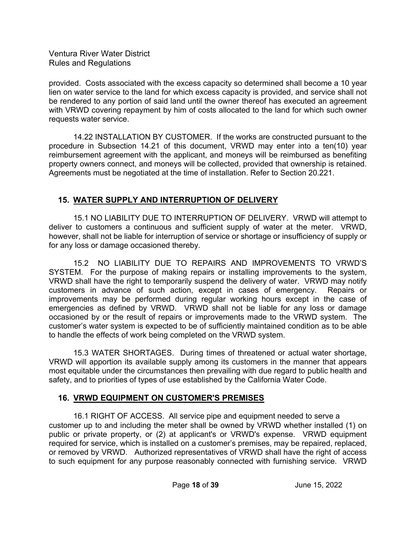provided. Costs associated with the excess capacity so determined shall become a 10 year lien on water service to the land for which excess capacity is provided, and service shall not be rendered to any portion of said land until the owner thereof has executed an agreement with VRWD covering repayment by him of costs allocated to the land for which such owner requests water service.

 14.22 INSTALLATION BY CUSTOMER. If the works are constructed pursuant to the procedure in Subsection 14.21 of this document, VRWD may enter into a ten(10) year reimbursement agreement with the applicant, and moneys will be reimbursed as benefiting property owners connect, and moneys will be collected, provided that ownership is retained. Agreements must be negotiated at the time of installation. Refer to Section 20.221.

## **15. WATER SUPPLY AND INTERRUPTION OF DELIVERY**

 15.1 NO LIABILITY DUE TO INTERRUPTION OF DELIVERY. VRWD will attempt to deliver to customers a continuous and sufficient supply of water at the meter. VRWD, however, shall not be liable for interruption of service or shortage or insufficiency of supply or for any loss or damage occasioned thereby.

 15.2 NO LIABILITY DUE TO REPAIRS AND IMPROVEMENTS TO VRWD'S SYSTEM. For the purpose of making repairs or installing improvements to the system, VRWD shall have the right to temporarily suspend the delivery of water. VRWD may notify customers in advance of such action, except in cases of emergency. Repairs or improvements may be performed during regular working hours except in the case of emergencies as defined by VRWD. VRWD shall not be liable for any loss or damage occasioned by or the result of repairs or improvements made to the VRWD system. The customer's water system is expected to be of sufficiently maintained condition as to be able to handle the effects of work being completed on the VRWD system.

 15.3 WATER SHORTAGES. During times of threatened or actual water shortage, VRWD will apportion its available supply among its customers in the manner that appears most equitable under the circumstances then prevailing with due regard to public health and safety, and to priorities of types of use established by the California Water Code.

## **16. VRWD EQUIPMENT ON CUSTOMER'S PREMISES**

 16.1 RIGHT OF ACCESS. All service pipe and equipment needed to serve a customer up to and including the meter shall be owned by VRWD whether installed (1) on public or private property, or (2) at applicant's or VRWD's expense. VRWD equipment required for service, which is installed on a customer's premises, may be repaired, replaced, or removed by VRWD. Authorized representatives of VRWD shall have the right of access to such equipment for any purpose reasonably connected with furnishing service. VRWD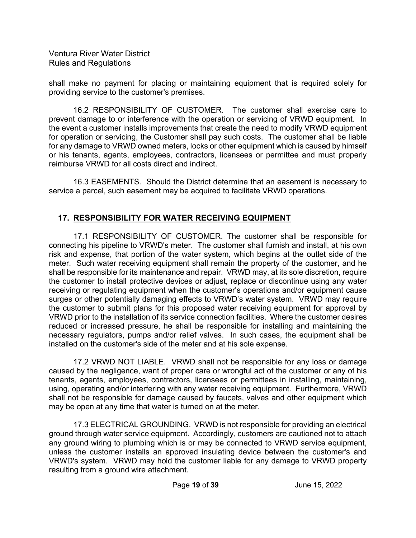shall make no payment for placing or maintaining equipment that is required solely for providing service to the customer's premises.

 16.2 RESPONSIBILITY OF CUSTOMER. The customer shall exercise care to prevent damage to or interference with the operation or servicing of VRWD equipment. In the event a customer installs improvements that create the need to modify VRWD equipment for operation or servicing, the Customer shall pay such costs. The customer shall be liable for any damage to VRWD owned meters, locks or other equipment which is caused by himself or his tenants, agents, employees, contractors, licensees or permittee and must properly reimburse VRWD for all costs direct and indirect.

 16.3 EASEMENTS. Should the District determine that an easement is necessary to service a parcel, such easement may be acquired to facilitate VRWD operations.

## **17. RESPONSIBILITY FOR WATER RECEIVING EQUIPMENT**

 17.1 RESPONSIBILITY OF CUSTOMER. The customer shall be responsible for connecting his pipeline to VRWD's meter. The customer shall furnish and install, at his own risk and expense, that portion of the water system, which begins at the outlet side of the meter. Such water receiving equipment shall remain the property of the customer, and he shall be responsible for its maintenance and repair. VRWD may, at its sole discretion, require the customer to install protective devices or adjust, replace or discontinue using any water receiving or regulating equipment when the customer's operations and/or equipment cause surges or other potentially damaging effects to VRWD's water system. VRWD may require the customer to submit plans for this proposed water receiving equipment for approval by VRWD prior to the installation of its service connection facilities. Where the customer desires reduced or increased pressure, he shall be responsible for installing and maintaining the necessary regulators, pumps and/or relief valves. In such cases, the equipment shall be installed on the customer's side of the meter and at his sole expense.

 17.2 VRWD NOT LIABLE. VRWD shall not be responsible for any loss or damage caused by the negligence, want of proper care or wrongful act of the customer or any of his tenants, agents, employees, contractors, licensees or permittees in installing, maintaining, using, operating and/or interfering with any water receiving equipment. Furthermore, VRWD shall not be responsible for damage caused by faucets, valves and other equipment which may be open at any time that water is turned on at the meter.

 17.3 ELECTRICAL GROUNDING. VRWD is not responsible for providing an electrical ground through water service equipment. Accordingly, customers are cautioned not to attach any ground wiring to plumbing which is or may be connected to VRWD service equipment, unless the customer installs an approved insulating device between the customer's and VRWD's system. VRWD may hold the customer liable for any damage to VRWD property resulting from a ground wire attachment.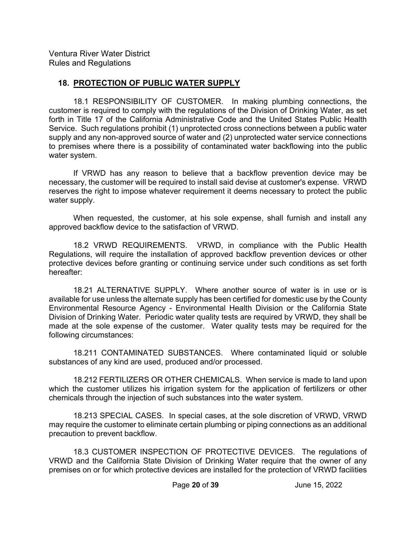#### **18. PROTECTION OF PUBLIC WATER SUPPLY**

 18.1 RESPONSIBILITY OF CUSTOMER. In making plumbing connections, the customer is required to comply with the regulations of the Division of Drinking Water, as set forth in Title 17 of the California Administrative Code and the United States Public Health Service. Such regulations prohibit (1) unprotected cross connections between a public water supply and any non-approved source of water and (2) unprotected water service connections to premises where there is a possibility of contaminated water backflowing into the public water system.

 If VRWD has any reason to believe that a backflow prevention device may be necessary, the customer will be required to install said devise at customer's expense. VRWD reserves the right to impose whatever requirement it deems necessary to protect the public water supply.

 When requested, the customer, at his sole expense, shall furnish and install any approved backflow device to the satisfaction of VRWD.

 18.2 VRWD REQUIREMENTS. VRWD, in compliance with the Public Health Regulations, will require the installation of approved backflow prevention devices or other protective devices before granting or continuing service under such conditions as set forth hereafter:

 18.21 ALTERNATIVE SUPPLY. Where another source of water is in use or is available for use unless the alternate supply has been certified for domestic use by the County Environmental Resource Agency - Environmental Health Division or the California State Division of Drinking Water. Periodic water quality tests are required by VRWD, they shall be made at the sole expense of the customer. Water quality tests may be required for the following circumstances:

 18.211 CONTAMINATED SUBSTANCES. Where contaminated liquid or soluble substances of any kind are used, produced and/or processed.

 18.212 FERTILIZERS OR OTHER CHEMICALS. When service is made to land upon which the customer utilizes his irrigation system for the application of fertilizers or other chemicals through the injection of such substances into the water system.

 18.213 SPECIAL CASES. In special cases, at the sole discretion of VRWD, VRWD may require the customer to eliminate certain plumbing or piping connections as an additional precaution to prevent backflow.

 18.3 CUSTOMER INSPECTION OF PROTECTIVE DEVICES. The regulations of VRWD and the California State Division of Drinking Water require that the owner of any premises on or for which protective devices are installed for the protection of VRWD facilities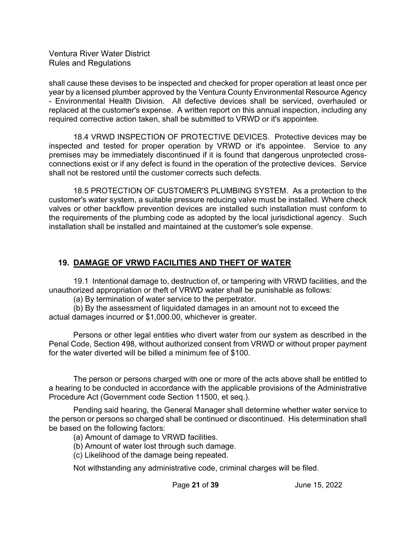shall cause these devises to be inspected and checked for proper operation at least once per year by a licensed plumber approved by the Ventura County Environmental Resource Agency - Environmental Health Division. All defective devices shall be serviced, overhauled or replaced at the customer's expense. A written report on this annual inspection, including any required corrective action taken, shall be submitted to VRWD or it's appointee.

 18.4 VRWD INSPECTION OF PROTECTIVE DEVICES. Protective devices may be inspected and tested for proper operation by VRWD or it's appointee. Service to any premises may be immediately discontinued if it is found that dangerous unprotected crossconnections exist or if any defect is found in the operation of the protective devices. Service shall not be restored until the customer corrects such defects.

 18.5 PROTECTION OF CUSTOMER'S PLUMBING SYSTEM. As a protection to the customer's water system, a suitable pressure reducing valve must be installed. Where check valves or other backflow prevention devices are installed such installation must conform to the requirements of the plumbing code as adopted by the local jurisdictional agency. Such installation shall be installed and maintained at the customer's sole expense.

### **19. DAMAGE OF VRWD FACILITIES AND THEFT OF WATER**

 19.1 Intentional damage to, destruction of, or tampering with VRWD facilities, and the unauthorized appropriation or theft of VRWD water shall be punishable as follows:

(a) By termination of water service to the perpetrator.

 (b) By the assessment of liquidated damages in an amount not to exceed the actual damages incurred or \$1,000.00, whichever is greater.

 Persons or other legal entities who divert water from our system as described in the Penal Code, Section 498, without authorized consent from VRWD or without proper payment for the water diverted will be billed a minimum fee of \$100.

 The person or persons charged with one or more of the acts above shall be entitled to a hearing to be conducted in accordance with the applicable provisions of the Administrative Procedure Act (Government code Section 11500, et seq.).

 Pending said hearing, the General Manager shall determine whether water service to the person or persons so charged shall be continued or discontinued. His determination shall be based on the following factors:

(a) Amount of damage to VRWD facilities.

- (b) Amount of water lost through such damage.
- (c) Likelihood of the damage being repeated.

Not withstanding any administrative code, criminal charges will be filed.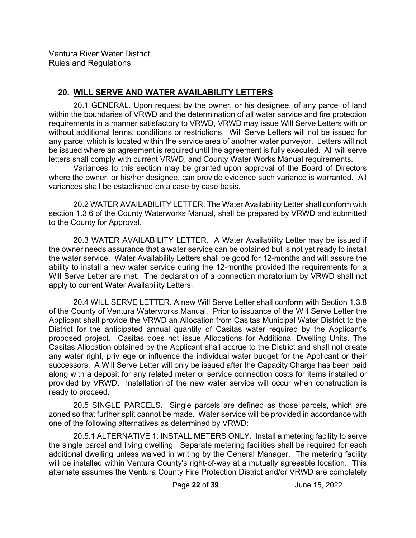### **20. WILL SERVE AND WATER AVAILABILITY LETTERS**

 20.1 GENERAL. Upon request by the owner, or his designee, of any parcel of land within the boundaries of VRWD and the determination of all water service and fire protection requirements in a manner satisfactory to VRWD, VRWD may issue Will Serve Letters with or without additional terms, conditions or restrictions. Will Serve Letters will not be issued for any parcel which is located within the service area of another water purveyor. Letters will not be issued where an agreement is required until the agreement is fully executed. All will serve letters shall comply with current VRWD, and County Water Works Manual requirements.

 Variances to this section may be granted upon approval of the Board of Directors where the owner, or his/her designee, can provide evidence such variance is warranted. All variances shall be established on a case by case basis.

 20.2 WATER AVAILABILITY LETTER. The Water Availability Letter shall conform with section 1.3.6 of the County Waterworks Manual, shall be prepared by VRWD and submitted to the County for Approval.

 20.3 WATER AVAILABILITY LETTER. A Water Availability Letter may be issued if the owner needs assurance that a water service can be obtained but is not yet ready to install the water service. Water Availability Letters shall be good for 12-months and will assure the ability to install a new water service during the 12-months provided the requirements for a Will Serve Letter are met. The declaration of a connection moratorium by VRWD shall not apply to current Water Availability Letters.

 20.4 WILL SERVE LETTER. A new Will Serve Letter shall conform with Section 1.3.8 of the County of Ventura Waterworks Manual. Prior to issuance of the Will Serve Letter the Applicant shall provide the VRWD an Allocation from Casitas Municipal Water District to the District for the anticipated annual quantity of Casitas water required by the Applicant's proposed project. Casitas does not issue Allocations for Additional Dwelling Units. The Casitas Allocation obtained by the Applicant shall accrue to the District and shall not create any water right, privilege or influence the individual water budget for the Applicant or their successors. A Will Serve Letter will only be issued after the Capacity Charge has been paid along with a deposit for any related meter or service connection costs for items installed or provided by VRWD. Installation of the new water service will occur when construction is ready to proceed.

 20.5 SINGLE PARCELS. Single parcels are defined as those parcels, which are zoned so that further split cannot be made. Water service will be provided in accordance with one of the following alternatives as determined by VRWD:

 20.5.1 ALTERNATIVE 1: INSTALL METERS ONLY. Install a metering facility to serve the single parcel and living dwelling. Separate metering facilities shall be required for each additional dwelling unless waived in writing by the General Manager. The metering facility will be installed within Ventura County's right-of-way at a mutually agreeable location. This alternate assumes the Ventura County Fire Protection District and/or VRWD are completely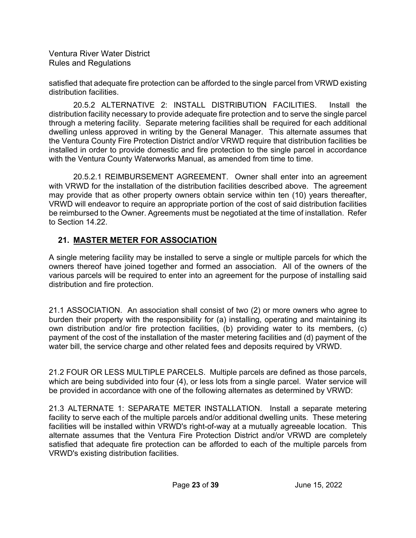satisfied that adequate fire protection can be afforded to the single parcel from VRWD existing distribution facilities.

 20.5.2 ALTERNATIVE 2: INSTALL DISTRIBUTION FACILITIES. Install the distribution facility necessary to provide adequate fire protection and to serve the single parcel through a metering facility. Separate metering facilities shall be required for each additional dwelling unless approved in writing by the General Manager. This alternate assumes that the Ventura County Fire Protection District and/or VRWD require that distribution facilities be installed in order to provide domestic and fire protection to the single parcel in accordance with the Ventura County Waterworks Manual, as amended from time to time.

 20.5.2.1 REIMBURSEMENT AGREEMENT. Owner shall enter into an agreement with VRWD for the installation of the distribution facilities described above. The agreement may provide that as other property owners obtain service within ten (10) years thereafter, VRWD will endeavor to require an appropriate portion of the cost of said distribution facilities be reimbursed to the Owner. Agreements must be negotiated at the time of installation. Refer to Section 14.22.

## **21. MASTER METER FOR ASSOCIATION**

A single metering facility may be installed to serve a single or multiple parcels for which the owners thereof have joined together and formed an association. All of the owners of the various parcels will be required to enter into an agreement for the purpose of installing said distribution and fire protection.

21.1 ASSOCIATION. An association shall consist of two (2) or more owners who agree to burden their property with the responsibility for (a) installing, operating and maintaining its own distribution and/or fire protection facilities, (b) providing water to its members, (c) payment of the cost of the installation of the master metering facilities and (d) payment of the water bill, the service charge and other related fees and deposits required by VRWD.

21.2 FOUR OR LESS MULTIPLE PARCELS. Multiple parcels are defined as those parcels, which are being subdivided into four (4), or less lots from a single parcel. Water service will be provided in accordance with one of the following alternates as determined by VRWD:

21.3 ALTERNATE 1: SEPARATE METER INSTALLATION. Install a separate metering facility to serve each of the multiple parcels and/or additional dwelling units. These metering facilities will be installed within VRWD's right-of-way at a mutually agreeable location. This alternate assumes that the Ventura Fire Protection District and/or VRWD are completely satisfied that adequate fire protection can be afforded to each of the multiple parcels from VRWD's existing distribution facilities.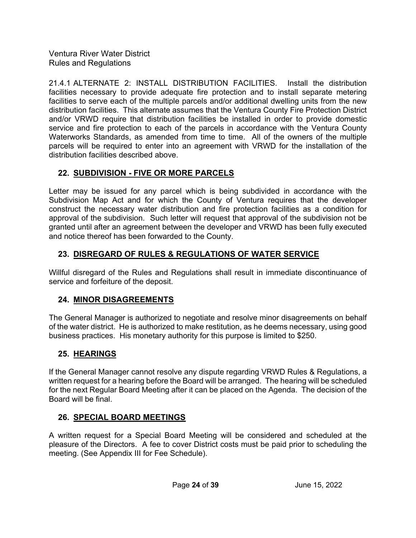21.4.1 ALTERNATE 2: INSTALL DISTRIBUTION FACILITIES. Install the distribution facilities necessary to provide adequate fire protection and to install separate metering facilities to serve each of the multiple parcels and/or additional dwelling units from the new distribution facilities. This alternate assumes that the Ventura County Fire Protection District and/or VRWD require that distribution facilities be installed in order to provide domestic service and fire protection to each of the parcels in accordance with the Ventura County Waterworks Standards, as amended from time to time. All of the owners of the multiple parcels will be required to enter into an agreement with VRWD for the installation of the distribution facilities described above.

## **22. SUBDIVISION - FIVE OR MORE PARCELS**

Letter may be issued for any parcel which is being subdivided in accordance with the Subdivision Map Act and for which the County of Ventura requires that the developer construct the necessary water distribution and fire protection facilities as a condition for approval of the subdivision. Such letter will request that approval of the subdivision not be granted until after an agreement between the developer and VRWD has been fully executed and notice thereof has been forwarded to the County.

## **23. DISREGARD OF RULES & REGULATIONS OF WATER SERVICE**

Willful disregard of the Rules and Regulations shall result in immediate discontinuance of service and forfeiture of the deposit.

## **24. MINOR DISAGREEMENTS**

The General Manager is authorized to negotiate and resolve minor disagreements on behalf of the water district. He is authorized to make restitution, as he deems necessary, using good business practices. His monetary authority for this purpose is limited to \$250.

## **25. HEARINGS**

If the General Manager cannot resolve any dispute regarding VRWD Rules & Regulations, a written request for a hearing before the Board will be arranged. The hearing will be scheduled for the next Regular Board Meeting after it can be placed on the Agenda. The decision of the Board will be final.

## **26. SPECIAL BOARD MEETINGS**

A written request for a Special Board Meeting will be considered and scheduled at the pleasure of the Directors. A fee to cover District costs must be paid prior to scheduling the meeting. (See Appendix III for Fee Schedule).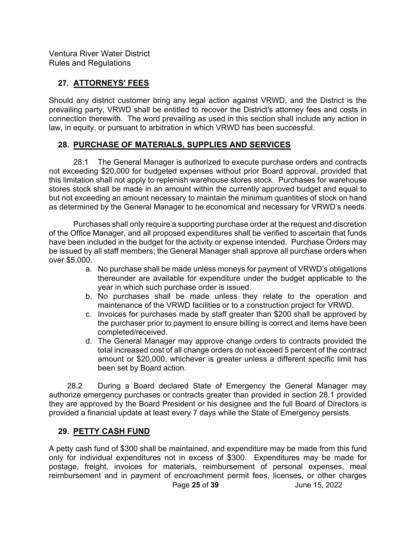## **27. ATTORNEYS' FEES**

Should any district customer bring any legal action against VRWD, and the District is the prevailing party, VRWD shall be entitled to recover the District's attorney fees and costs in connection therewith. The word prevailing as used in this section shall include any action in law, in equity, or pursuant to arbitration in which VRWD has been successful.

#### **28. PURCHASE OF MATERIALS, SUPPLIES AND SERVICES**

28.1 The General Manager is authorized to execute purchase orders and contracts not exceeding \$20,000 for budgeted expenses without prior Board approval, provided that this limitation shall not apply to replenish warehouse stores stock. Purchases for warehouse stores stock shall be made in an amount within the currently approved budget and equal to but not exceeding an amount necessary to maintain the minimum quantities of stock on hand as determined by the General Manager to be economical and necessary for VRWD's needs.

 Purchases shall only require a supporting purchase order at the request and discretion of the Office Manager, and all proposed expenditures shall be verified to ascertain that funds have been included in the budget for the activity or expense intended. Purchase Orders may be issued by all staff members; the General Manager shall approve all purchase orders when over \$5,000.

- a. No purchase shall be made unless moneys for payment of VRWD's obligations thereunder are available for expenditure under the budget applicable to the year in which such purchase order is issued.
- b. No purchases shall be made unless they relate to the operation and maintenance of the VRWD facilities or to a construction project for VRWD.
- c. Invoices for purchases made by staff greater than \$200 shall be approved by the purchaser prior to payment to ensure billing is correct and items have been completed/received.
- d. The General Manager may approve change orders to contracts provided the total increased cost of all change orders do not exceed 5 percent of the contract amount or \$20,000, whichever is greater unless a different specific limit has been set by Board action.

 28.2 During a Board declared State of Emergency the General Manager may authorize emergency purchases or contracts greater than provided in section 28.1 provided they are approved by the Board President or his designee and the full Board of Directors is provided a financial update at least every 7 days while the State of Emergency persists.

#### **29. PETTY CASH FUND**

 Page **25** of **39** June 15, 2022 A petty cash fund of \$300 shall be maintained, and expenditure may be made from this fund only for individual expenditures not in excess of \$300. Expenditures may be made for postage, freight, invoices for materials, reimbursement of personal expenses, meal reimbursement and in payment of encroachment permit fees, licenses, or other charges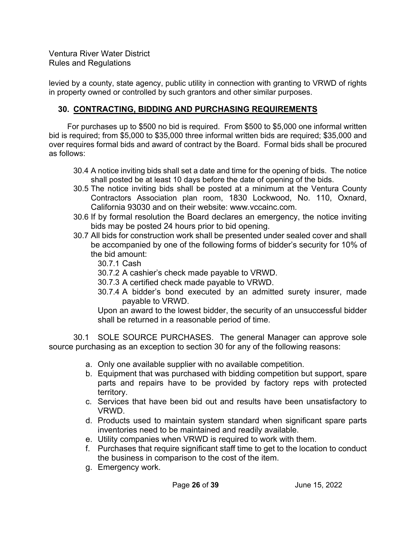levied by a county, state agency, public utility in connection with granting to VRWD of rights in property owned or controlled by such grantors and other similar purposes.

### **30. CONTRACTING, BIDDING AND PURCHASING REQUIREMENTS**

 For purchases up to \$500 no bid is required. From \$500 to \$5,000 one informal written bid is required; from \$5,000 to \$35,000 three informal written bids are required; \$35,000 and over requires formal bids and award of contract by the Board. Formal bids shall be procured as follows:

- 30.4 A notice inviting bids shall set a date and time for the opening of bids. The notice shall posted be at least 10 days before the date of opening of the bids.
- 30.5 The notice inviting bids shall be posted at a minimum at the Ventura County Contractors Association plan room, 1830 Lockwood, No. 110, Oxnard, California 93030 and on their website: www.vccainc.com.
- 30.6 If by formal resolution the Board declares an emergency, the notice inviting bids may be posted 24 hours prior to bid opening.
- 30.7 All bids for construction work shall be presented under sealed cover and shall be accompanied by one of the following forms of bidder's security for 10% of the bid amount:
	- 30.7.1 Cash
	- 30.7.2 A cashier's check made payable to VRWD.
	- 30.7.3 A certified check made payable to VRWD.
	- 30.7.4 A bidder's bond executed by an admitted surety insurer, made payable to VRWD.

Upon an award to the lowest bidder, the security of an unsuccessful bidder shall be returned in a reasonable period of time.

30.1 SOLE SOURCE PURCHASES. The general Manager can approve sole source purchasing as an exception to section 30 for any of the following reasons:

- a. Only one available supplier with no available competition.
- b. Equipment that was purchased with bidding competition but support, spare parts and repairs have to be provided by factory reps with protected territory.
- c. Services that have been bid out and results have been unsatisfactory to VRWD.
- d. Products used to maintain system standard when significant spare parts inventories need to be maintained and readily available.
- e. Utility companies when VRWD is required to work with them.
- f. Purchases that require significant staff time to get to the location to conduct the business in comparison to the cost of the item.
- g. Emergency work.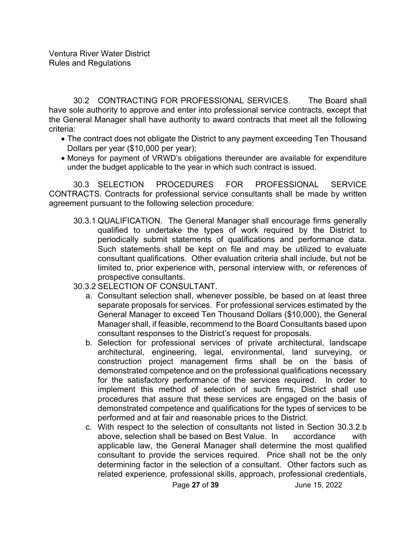30.2 CONTRACTING FOR PROFESSIONAL SERVICES. The Board shall have sole authority to approve and enter into professional service contracts, except that the General Manager shall have authority to award contracts that meet all the following criteria:

- The contract does not obligate the District to any payment exceeding Ten Thousand Dollars per year (\$10,000 per year);
- Moneys for payment of VRWD's obligations thereunder are available for expenditure under the budget applicable to the year in which such contract is issued.

30.3 SELECTION PROCEDURES FOR PROFESSIONAL SERVICE CONTRACTS. Contracts for professional service consultants shall be made by written agreement pursuant to the following selection procedure:

- 30.3.1 QUALIFICATION. The General Manager shall encourage firms generally qualified to undertake the types of work required by the District to periodically submit statements of qualifications and performance data. Such statements shall be kept on file and may be utilized to evaluate consultant qualifications. Other evaluation criteria shall include, but not be limited to, prior experience with, personal interview with, or references of prospective consultants.
- 30.3.2 SELECTION OF CONSULTANT.
	- a. Consultant selection shall, whenever possible, be based on at least three separate proposals for services. For professional services estimated by the General Manager to exceed Ten Thousand Dollars (\$10,000), the General Manager shall, if feasible, recommend to the Board Consultants based upon consultant responses to the District's request for proposals.
	- b. Selection for professional services of private architectural, landscape architectural, engineering, legal, environmental, land surveying, or construction project management firms shall be on the basis of demonstrated competence and on the professional qualifications necessary for the satisfactory performance of the services required. In order to implement this method of selection of such firms, District shall use procedures that assure that these services are engaged on the basis of demonstrated competence and qualifications for the types of services to be performed and at fair and reasonable prices to the District.
	- c. With respect to the selection of consultants not listed in Section 30.3.2.b above, selection shall be based on Best Value. In accordance with applicable law, the General Manager shall determine the most qualified consultant to provide the services required. Price shall not be the only determining factor in the selection of a consultant. Other factors such as related experience, professional skills, approach, professional credentials,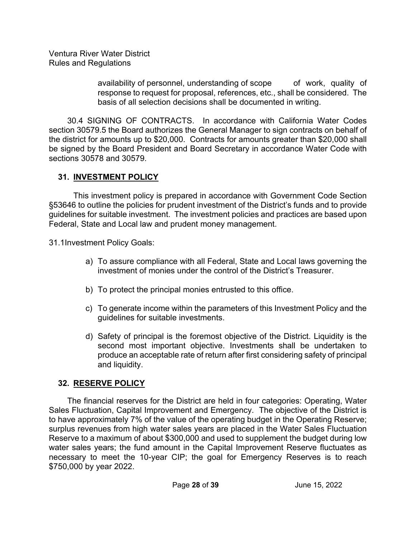> availability of personnel, understanding of scope of work, quality of response to request for proposal, references, etc., shall be considered. The basis of all selection decisions shall be documented in writing.

 30.4 SIGNING OF CONTRACTS. In accordance with California Water Codes section 30579.5 the Board authorizes the General Manager to sign contracts on behalf of the district for amounts up to \$20,000. Contracts for amounts greater than \$20,000 shall be signed by the Board President and Board Secretary in accordance Water Code with sections 30578 and 30579.

## **31. INVESTMENT POLICY**

This investment policy is prepared in accordance with Government Code Section §53646 to outline the policies for prudent investment of the District's funds and to provide guidelines for suitable investment. The investment policies and practices are based upon Federal, State and Local law and prudent money management.

31.1 Investment Policy Goals:

- a) To assure compliance with all Federal, State and Local laws governing the investment of monies under the control of the District's Treasurer.
- b) To protect the principal monies entrusted to this office.
- c) To generate income within the parameters of this Investment Policy and the guidelines for suitable investments.
- d) Safety of principal is the foremost objective of the District. Liquidity is the second most important objective. Investments shall be undertaken to produce an acceptable rate of return after first considering safety of principal and liquidity.

## **32. RESERVE POLICY**

The financial reserves for the District are held in four categories: Operating, Water Sales Fluctuation, Capital Improvement and Emergency. The objective of the District is to have approximately 7% of the value of the operating budget in the Operating Reserve; surplus revenues from high water sales years are placed in the Water Sales Fluctuation Reserve to a maximum of about \$300,000 and used to supplement the budget during low water sales years; the fund amount in the Capital Improvement Reserve fluctuates as necessary to meet the 10-year CIP; the goal for Emergency Reserves is to reach \$750,000 by year 2022.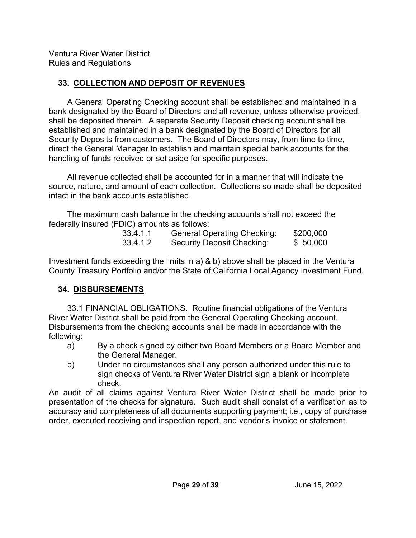## **33. COLLECTION AND DEPOSIT OF REVENUES**

A General Operating Checking account shall be established and maintained in a bank designated by the Board of Directors and all revenue, unless otherwise provided, shall be deposited therein. A separate Security Deposit checking account shall be established and maintained in a bank designated by the Board of Directors for all Security Deposits from customers. The Board of Directors may, from time to time, direct the General Manager to establish and maintain special bank accounts for the handling of funds received or set aside for specific purposes.

 All revenue collected shall be accounted for in a manner that will indicate the source, nature, and amount of each collection. Collections so made shall be deposited intact in the bank accounts established.

 The maximum cash balance in the checking accounts shall not exceed the federally insured (FDIC) amounts as follows:

| 33.4.1.1 | <b>General Operating Checking:</b> | \$200,000 |
|----------|------------------------------------|-----------|
| 33.4.1.2 | Security Deposit Checking:         | \$50,000  |

Investment funds exceeding the limits in a) & b) above shall be placed in the Ventura County Treasury Portfolio and/or the State of California Local Agency Investment Fund.

## **34. DISBURSEMENTS**

 33.1 FINANCIAL OBLIGATIONS. Routine financial obligations of the Ventura River Water District shall be paid from the General Operating Checking account. Disbursements from the checking accounts shall be made in accordance with the following:

- a) By a check signed by either two Board Members or a Board Member and the General Manager.
- b) Under no circumstances shall any person authorized under this rule to sign checks of Ventura River Water District sign a blank or incomplete check.

An audit of all claims against Ventura River Water District shall be made prior to presentation of the checks for signature. Such audit shall consist of a verification as to accuracy and completeness of all documents supporting payment; i.e., copy of purchase order, executed receiving and inspection report, and vendor's invoice or statement.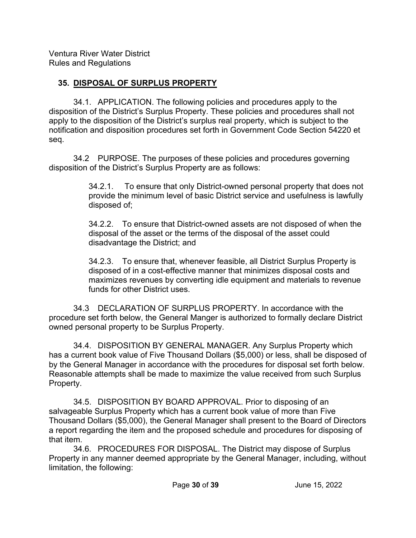## **35. DISPOSAL OF SURPLUS PROPERTY**

34.1. APPLICATION. The following policies and procedures apply to the disposition of the District's Surplus Property. These policies and procedures shall not apply to the disposition of the District's surplus real property, which is subject to the notification and disposition procedures set forth in Government Code Section 54220 et seq.

34.2 PURPOSE. The purposes of these policies and procedures governing disposition of the District's Surplus Property are as follows:

> 34.2.1. To ensure that only District-owned personal property that does not provide the minimum level of basic District service and usefulness is lawfully disposed of;

> 34.2.2. To ensure that District-owned assets are not disposed of when the disposal of the asset or the terms of the disposal of the asset could disadvantage the District; and

> 34.2.3. To ensure that, whenever feasible, all District Surplus Property is disposed of in a cost-effective manner that minimizes disposal costs and maximizes revenues by converting idle equipment and materials to revenue funds for other District uses.

34.3 DECLARATION OF SURPLUS PROPERTY. In accordance with the procedure set forth below, the General Manger is authorized to formally declare District owned personal property to be Surplus Property.

34.4. DISPOSITION BY GENERAL MANAGER. Any Surplus Property which has a current book value of Five Thousand Dollars (\$5,000) or less, shall be disposed of by the General Manager in accordance with the procedures for disposal set forth below. Reasonable attempts shall be made to maximize the value received from such Surplus Property.

34.5. DISPOSITION BY BOARD APPROVAL. Prior to disposing of an salvageable Surplus Property which has a current book value of more than Five Thousand Dollars (\$5,000), the General Manager shall present to the Board of Directors a report regarding the item and the proposed schedule and procedures for disposing of that item.

34.6. PROCEDURES FOR DISPOSAL. The District may dispose of Surplus Property in any manner deemed appropriate by the General Manager, including, without limitation, the following: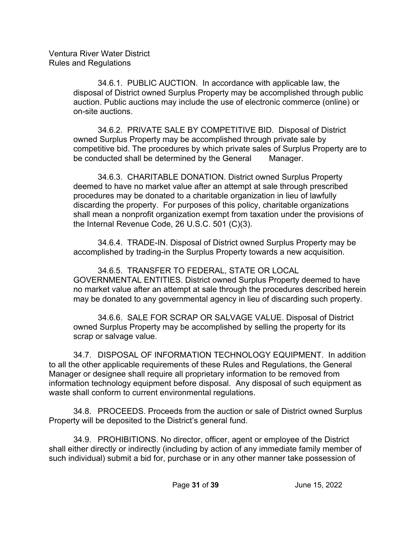> 34.6.1. PUBLIC AUCTION.In accordance with applicable law, the disposal of District owned Surplus Property may be accomplished through public auction. Public auctions may include the use of electronic commerce (online) or on-site auctions.

34.6.2. PRIVATE SALE BY COMPETITIVE BID.Disposal of District owned Surplus Property may be accomplished through private sale by competitive bid. The procedures by which private sales of Surplus Property are to be conducted shall be determined by the General Manager.

34.6.3. CHARITABLE DONATION. District owned Surplus Property deemed to have no market value after an attempt at sale through prescribed procedures may be donated to a charitable organization in lieu of lawfully discarding the property. For purposes of this policy, charitable organizations shall mean a nonprofit organization exempt from taxation under the provisions of the Internal Revenue Code, 26 U.S.C. 501 (C)(3).

34.6.4. TRADE-IN. Disposal of District owned Surplus Property may be accomplished by trading-in the Surplus Property towards a new acquisition.

34.6.5. TRANSFER TO FEDERAL, STATE OR LOCAL GOVERNMENTAL ENTITIES. District owned Surplus Property deemed to have no market value after an attempt at sale through the procedures described herein may be donated to any governmental agency in lieu of discarding such property.

34.6.6. SALE FOR SCRAP OR SALVAGE VALUE. Disposal of District owned Surplus Property may be accomplished by selling the property for its scrap or salvage value.

34.7. DISPOSAL OF INFORMATION TECHNOLOGY EQUIPMENT. In addition to all the other applicable requirements of these Rules and Regulations, the General Manager or designee shall require all proprietary information to be removed from information technology equipment before disposal. Any disposal of such equipment as waste shall conform to current environmental regulations.

34.8. PROCEEDS. Proceeds from the auction or sale of District owned Surplus Property will be deposited to the District's general fund.

34.9. PROHIBITIONS. No director, officer, agent or employee of the District shall either directly or indirectly (including by action of any immediate family member of such individual) submit a bid for, purchase or in any other manner take possession of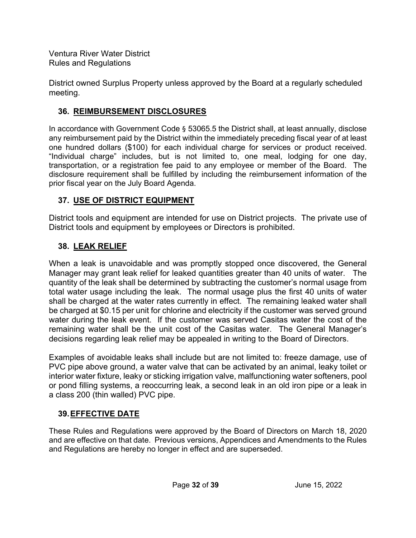District owned Surplus Property unless approved by the Board at a regularly scheduled meeting.

## **36. REIMBURSEMENT DISCLOSURES**

In accordance with Government Code § 53065.5 the District shall, at least annually, disclose any reimbursement paid by the District within the immediately preceding fiscal year of at least one hundred dollars (\$100) for each individual charge for services or product received. "Individual charge" includes, but is not limited to, one meal, lodging for one day, transportation, or a registration fee paid to any employee or member of the Board. The disclosure requirement shall be fulfilled by including the reimbursement information of the prior fiscal year on the July Board Agenda.

## **37. USE OF DISTRICT EQUIPMENT**

District tools and equipment are intended for use on District projects. The private use of District tools and equipment by employees or Directors is prohibited.

## **38. LEAK RELIEF**

When a leak is unavoidable and was promptly stopped once discovered, the General Manager may grant leak relief for leaked quantities greater than 40 units of water. The quantity of the leak shall be determined by subtracting the customer's normal usage from total water usage including the leak. The normal usage plus the first 40 units of water shall be charged at the water rates currently in effect. The remaining leaked water shall be charged at \$0.15 per unit for chlorine and electricity if the customer was served ground water during the leak event. If the customer was served Casitas water the cost of the remaining water shall be the unit cost of the Casitas water. The General Manager's decisions regarding leak relief may be appealed in writing to the Board of Directors.

Examples of avoidable leaks shall include but are not limited to: freeze damage, use of PVC pipe above ground, a water valve that can be activated by an animal, leaky toilet or interior water fixture, leaky or sticking irrigation valve, malfunctioning water softeners, pool or pond filling systems, a reoccurring leak, a second leak in an old iron pipe or a leak in a class 200 (thin walled) PVC pipe.

## **39. EFFECTIVE DATE**

These Rules and Regulations were approved by the Board of Directors on March 18, 2020 and are effective on that date. Previous versions, Appendices and Amendments to the Rules and Regulations are hereby no longer in effect and are superseded.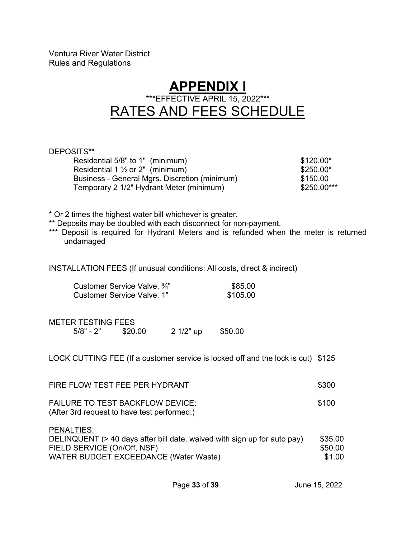## **APPENDIX I**  \*\*\*EFFECTIVE APRIL 15, 2022\*\*\* RATES AND FEES SCHEDULE

| DEPOSITS**                                                                                                                                                                                                                          |          |                        |  |  |  |
|-------------------------------------------------------------------------------------------------------------------------------------------------------------------------------------------------------------------------------------|----------|------------------------|--|--|--|
| Residential 5/8" to 1" (minimum)<br>Residential $1 \frac{1}{2}$ or $2"$ (minimum)                                                                                                                                                   |          | \$120.00*<br>\$250.00* |  |  |  |
| Business - General Mgrs. Discretion (minimum)                                                                                                                                                                                       |          | \$150.00               |  |  |  |
| Temporary 2 1/2" Hydrant Meter (minimum)                                                                                                                                                                                            |          | \$250.00***            |  |  |  |
|                                                                                                                                                                                                                                     |          |                        |  |  |  |
| * Or 2 times the highest water bill whichever is greater.<br>** Deposits may be doubled with each disconnect for non-payment.<br>*** Deposit is required for Hydrant Meters and is refunded when the meter is returned<br>undamaged |          |                        |  |  |  |
| INSTALLATION FEES (If unusual conditions: All costs, direct & indirect)                                                                                                                                                             |          |                        |  |  |  |
| Customer Service Valve, 3/4"                                                                                                                                                                                                        | \$85.00  |                        |  |  |  |
| Customer Service Valve, 1"                                                                                                                                                                                                          | \$105.00 |                        |  |  |  |
|                                                                                                                                                                                                                                     |          |                        |  |  |  |
| <b>METER TESTING FEES</b>                                                                                                                                                                                                           |          |                        |  |  |  |
| $5/8" - 2"$ \$20.00<br>2 1/2" up                                                                                                                                                                                                    | \$50.00  |                        |  |  |  |
|                                                                                                                                                                                                                                     |          |                        |  |  |  |
| LOCK CUTTING FEE (If a customer service is locked off and the lock is cut) \$125                                                                                                                                                    |          |                        |  |  |  |
| FIRE FLOW TEST FEE PER HYDRANT                                                                                                                                                                                                      |          | \$300                  |  |  |  |
| <b>FAILURE TO TEST BACKFLOW DEVICE:</b>                                                                                                                                                                                             |          | \$100                  |  |  |  |
| (After 3rd request to have test performed.)                                                                                                                                                                                         |          |                        |  |  |  |
| PENALTIES:                                                                                                                                                                                                                          |          |                        |  |  |  |
| DELINQUENT (> 40 days after bill date, waived with sign up for auto pay)                                                                                                                                                            |          | \$35.00                |  |  |  |
| FIELD SERVICE (On/Off, NSF)                                                                                                                                                                                                         | \$50.00  |                        |  |  |  |

WATER BUDGET EXCEEDANCE (Water Waste)  $$1.00$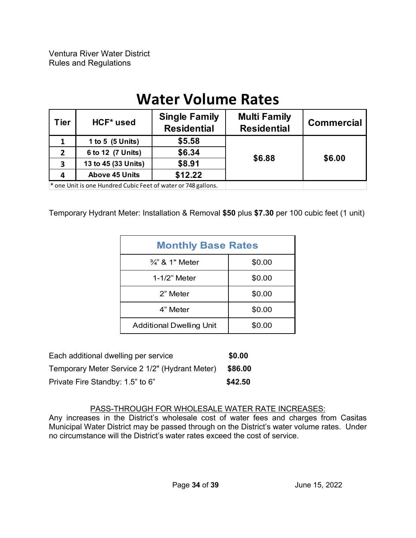# **Water Volume Rates**

| <b>Tier</b> | <b>Multi Family</b><br><b>Single Family</b><br>HCF <sup>*</sup> used<br><b>Residential</b><br><b>Residential</b> |         | <b>Commercial</b> |        |
|-------------|------------------------------------------------------------------------------------------------------------------|---------|-------------------|--------|
| 1           | 1 to 5 (5 Units)                                                                                                 | \$5.58  |                   |        |
| 2           | 6 to 12 (7 Units)                                                                                                | \$6.34  |                   |        |
| 3           | 13 to 45 (33 Units)                                                                                              | \$8.91  | \$6.88            | \$6.00 |
| 4           | <b>Above 45 Units</b>                                                                                            | \$12.22 |                   |        |
|             | $*$ and Unitia and Uundrad Cubie Foot of water or 740 rollong                                                    |         |                   |        |

\* one Unit is one Hundred Cubic Feet of water or 748 gallons.

Temporary Hydrant Meter: Installation & Removal **\$50** plus **\$7.30** per 100 cubic feet (1 unit)

| <b>Monthly Base Rates</b>       |        |  |  |
|---------------------------------|--------|--|--|
| $\frac{3}{4}$ " & 1" Meter      | \$0.00 |  |  |
| 1-1/2" Meter                    | \$0.00 |  |  |
| 2" Meter                        | \$0.00 |  |  |
| 4" Meter                        | \$0.00 |  |  |
| <b>Additional Dwelling Unit</b> | \$0.00 |  |  |

| Each additional dwelling per service           | \$0.00  |
|------------------------------------------------|---------|
| Temporary Meter Service 2 1/2" (Hydrant Meter) | \$86.00 |
| Private Fire Standby: 1.5" to 6"               | \$42.50 |

#### PASS-THROUGH FOR WHOLESALE WATER RATE INCREASES:

Any increases in the District's wholesale cost of water fees and charges from Casitas Municipal Water District may be passed through on the District's water volume rates. Under no circumstance will the District's water rates exceed the cost of service.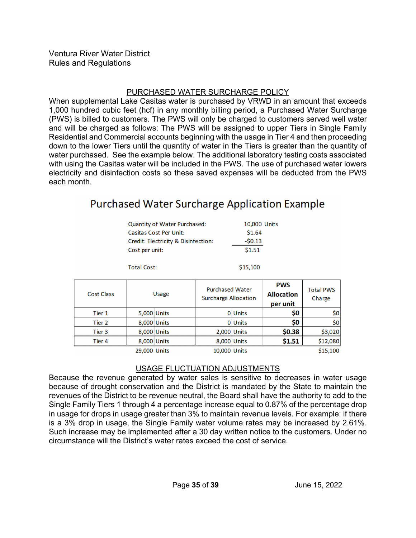#### PURCHASED WATER SURCHARGE POLICY

When supplemental Lake Casitas water is purchased by VRWD in an amount that exceeds 1,000 hundred cubic feet (hcf) in any monthly billing period, a Purchased Water Surcharge (PWS) is billed to customers. The PWS will only be charged to customers served well water and will be charged as follows: The PWS will be assigned to upper Tiers in Single Family Residential and Commercial accounts beginning with the usage in Tier 4 and then proceeding down to the lower Tiers until the quantity of water in the Tiers is greater than the quantity of water purchased. See the example below. The additional laboratory testing costs associated with using the Casitas water will be included in the PWS. The use of purchased water lowers electricity and disinfection costs so these saved expenses will be deducted from the PWS each month.

## **Purchased Water Surcharge Application Example**

| <b>Quantity of Water Purchased:</b>            | 10,000 Units |
|------------------------------------------------|--------------|
| <b>Casitas Cost Per Unit:</b>                  | \$1.64       |
| <b>Credit: Electricity &amp; Disinfection:</b> | $-50.13$     |
| Cost per unit:                                 | \$1.51       |
|                                                |              |
| <b>Total Cost:</b>                             | \$15,100     |

| <b>Cost Class</b> |              | Usage       | <b>Purchased Water</b><br><b>Surcharge Allocation</b> |             | <b>PWS</b><br><b>Allocation</b><br>per unit | <b>Total PWS</b><br>Charge |
|-------------------|--------------|-------------|-------------------------------------------------------|-------------|---------------------------------------------|----------------------------|
| Tier 1            |              | 5,000 Units |                                                       | 0 Units     | \$0                                         | \$0                        |
| Tier 2            | 8,000 Units  |             |                                                       | 0 Units     | \$0                                         | 50 <sub>1</sub>            |
| Tier 3            | 8.000 Units  |             |                                                       | 2,000 Units | \$0.38                                      | \$3,020                    |
| Tier 4            |              | 8,000 Units |                                                       | 8,000 Units | \$1.51                                      | \$12,080                   |
|                   | 29,000 Units |             | 10,000 Units                                          |             |                                             | \$15,100                   |

#### USAGE FLUCTUATION ADJUSTMENTS

Because the revenue generated by water sales is sensitive to decreases in water usage because of drought conservation and the District is mandated by the State to maintain the revenues of the District to be revenue neutral, the Board shall have the authority to add to the Single Family Tiers 1 through 4 a percentage increase equal to 0.87% of the percentage drop in usage for drops in usage greater than 3% to maintain revenue levels. For example: if there is a 3% drop in usage, the Single Family water volume rates may be increased by 2.61%. Such increase may be implemented after a 30 day written notice to the customers. Under no circumstance will the District's water rates exceed the cost of service.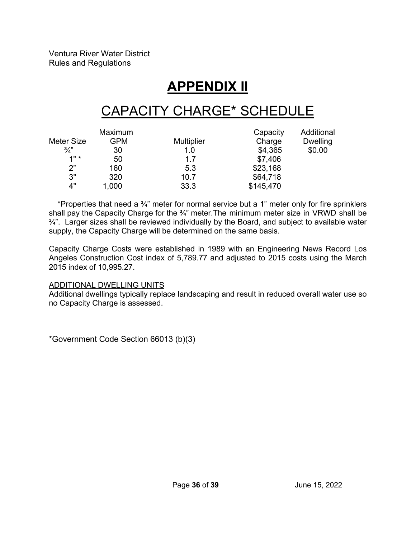# **APPENDIX II**

# CAPACITY CHARGE\* SCHEDULE

|               | Maximum |                   | Capacity  | Additional      |
|---------------|---------|-------------------|-----------|-----------------|
| Meter Size    | GPM     | <b>Multiplier</b> | Charge    | <b>Dwelling</b> |
| $\frac{3}{4}$ | 30      | 1.0               | \$4,365   | \$0.00          |
| 1"            | 50      | 1.7               | \$7,406   |                 |
| 2"            | 160     | 5.3               | \$23,168  |                 |
| 3"            | 320     | 10.7              | \$64,718  |                 |
| 4"            | 1,000   | 33.3              | \$145,470 |                 |

\*Properties that need a  $\frac{3}{4}$ " meter for normal service but a 1" meter only for fire sprinklers shall pay the Capacity Charge for the 3/4" meter. The minimum meter size in VRWD shall be ¾". Larger sizes shall be reviewed individually by the Board, and subject to available water supply, the Capacity Charge will be determined on the same basis.

Capacity Charge Costs were established in 1989 with an Engineering News Record Los Angeles Construction Cost index of 5,789.77 and adjusted to 2015 costs using the March 2015 index of 10,995.27.

#### ADDITIONAL DWELLING UNITS

Additional dwellings typically replace landscaping and result in reduced overall water use so no Capacity Charge is assessed.

\*Government Code Section 66013 (b)(3)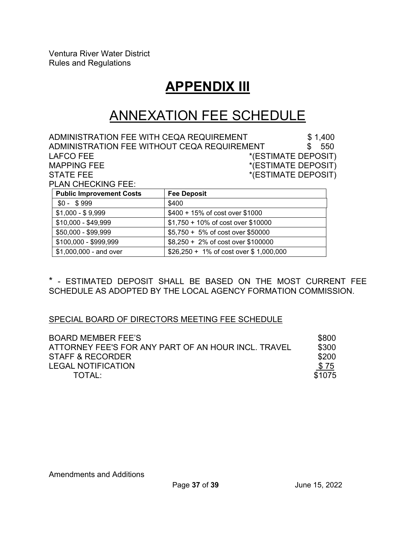## **APPENDIX III**

# ANNEXATION FEE SCHEDULE

ADMINISTRATION FEE WITH CEQA REQUIREMENT  $$1,400$ ADMINISTRATION FEE WITHOUT CEQA REQUIREMENT  $$550$ LAFCO FEE \*(ESTIMATE DEPOSIT)<br>MAPPING FEE \*(ESTIMATE DEPOSIT)  $*(ESTIMATE DEPOSIT)$ STATE FEE \*(ESTIMATE DEPOSIT) PLAN CHECKING FEE:

| <b>Public Improvement Costs</b> | <b>Fee Deposit</b>                       |
|---------------------------------|------------------------------------------|
| $$0 - $999$                     | \$400                                    |
| $$1,000 - $9,999$               | \$400 + 15% of cost over \$1000          |
| $$10,000 - $49,999$             | \$1,750 + 10% of cost over \$10000       |
| \$50,000 - \$99,999             | \$5,750 + 5% of cost over \$50000        |
| \$100,000 - \$999,999           | \$8,250 + 2% of cost over \$100000       |
| \$1,000,000 - and over          | $$26,250 + 1\%$ of cost over \$1,000,000 |

\* - ESTIMATED DEPOSIT SHALL BE BASED ON THE MOST CURRENT FEE SCHEDULE AS ADOPTED BY THE LOCAL AGENCY FORMATION COMMISSION.

#### SPECIAL BOARD OF DIRECTORS MEETING FEE SCHEDULE

| <b>BOARD MEMBER FEE'S</b>                           | \$800       |
|-----------------------------------------------------|-------------|
| ATTORNEY FEE'S FOR ANY PART OF AN HOUR INCL. TRAVEL | \$300       |
| STAFF & RECORDER                                    | \$200       |
| <b>LEGAL NOTIFICATION</b>                           | <u>\$75</u> |
| TOTAI                                               | \$1075      |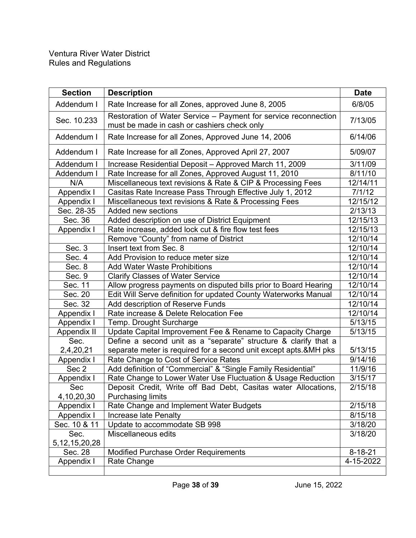| <b>Section</b>    | <b>Description</b>                                               | <b>Date</b>   |
|-------------------|------------------------------------------------------------------|---------------|
| Addendum I        | Rate Increase for all Zones, approved June 8, 2005               | 6/8/05        |
| Sec. 10.233       | Restoration of Water Service - Payment for service reconnection  |               |
|                   | must be made in cash or cashiers check only                      | 7/13/05       |
| Addendum I        | Rate Increase for all Zones, Approved June 14, 2006              | 6/14/06       |
| Addendum I        | Rate Increase for all Zones, Approved April 27, 2007             | 5/09/07       |
| Addendum I        | Increase Residential Deposit – Approved March 11, 2009           | 3/11/09       |
| Addendum I        | Rate Increase for all Zones, Approved August 11, 2010            | 8/11/10       |
| N/A               | Miscellaneous text revisions & Rate & CIP & Processing Fees      | 12/14/11      |
| Appendix I        | Casitas Rate Increase Pass Through Effective July 1, 2012        | 7/1/12        |
| Appendix I        | Miscellaneous text revisions & Rate & Processing Fees            | 12/15/12      |
| Sec. 28-35        | Added new sections                                               | 2/13/13       |
| Sec. 36           | Added description on use of District Equipment                   | 12/15/13      |
| Appendix I        | Rate increase, added lock cut & fire flow test fees              | 12/15/13      |
|                   | Remove "County" from name of District                            | 12/10/14      |
| Sec. 3            | Insert text from Sec. 8                                          | 12/10/14      |
| Sec. 4            | Add Provision to reduce meter size                               | 12/10/14      |
| Sec. 8            | <b>Add Water Waste Prohibitions</b>                              | 12/10/14      |
| Sec. 9            | <b>Clarify Classes of Water Service</b>                          | 12/10/14      |
| Sec. 11           | Allow progress payments on disputed bills prior to Board Hearing | 12/10/14      |
| Sec. 20           | Edit Will Serve definition for updated County Waterworks Manual  | 12/10/14      |
| Sec. 32           | Add description of Reserve Funds                                 | 12/10/14      |
| Appendix I        | Rate increase & Delete Relocation Fee                            | 12/10/14      |
| Appendix I        | Temp. Drought Surcharge                                          | 5/13/15       |
| Appendix II       | Update Capital Improvement Fee & Rename to Capacity Charge       | 5/13/15       |
| Sec.              | Define a second unit as a "separate" structure & clarify that a  |               |
| 2,4,20,21         | separate meter is required for a second unit except apts.&MH pks | 5/13/15       |
| Appendix I        | Rate Change to Cost of Service Rates                             | 9/14/16       |
| Sec 2             | Add definition of "Commercial" & "Single Family Residential"     | 11/9/16       |
| Appendix I        | Rate Change to Lower Water Use Fluctuation & Usage Reduction     | 3/15/17       |
| Sec               | Deposit Credit, Write off Bad Debt, Casitas water Allocations    | 2/15/18       |
| 4, 10, 20, 30     | <b>Purchasing limits</b>                                         |               |
| Appendix I        | Rate Change and Implement Water Budgets                          | 2/15/18       |
| Appendix I        | Increase late Penalty                                            | 8/15/18       |
| Sec. 10 & 11      | Update to accommodate SB 998                                     | 3/18/20       |
| Sec.              | Miscellaneous edits                                              | 3/18/20       |
| 5, 12, 15, 20, 28 |                                                                  |               |
| Sec. 28           | <b>Modified Purchase Order Requirements</b>                      | $8 - 18 - 21$ |
| Appendix I        | Rate Change                                                      | 4-15-2022     |
|                   |                                                                  |               |